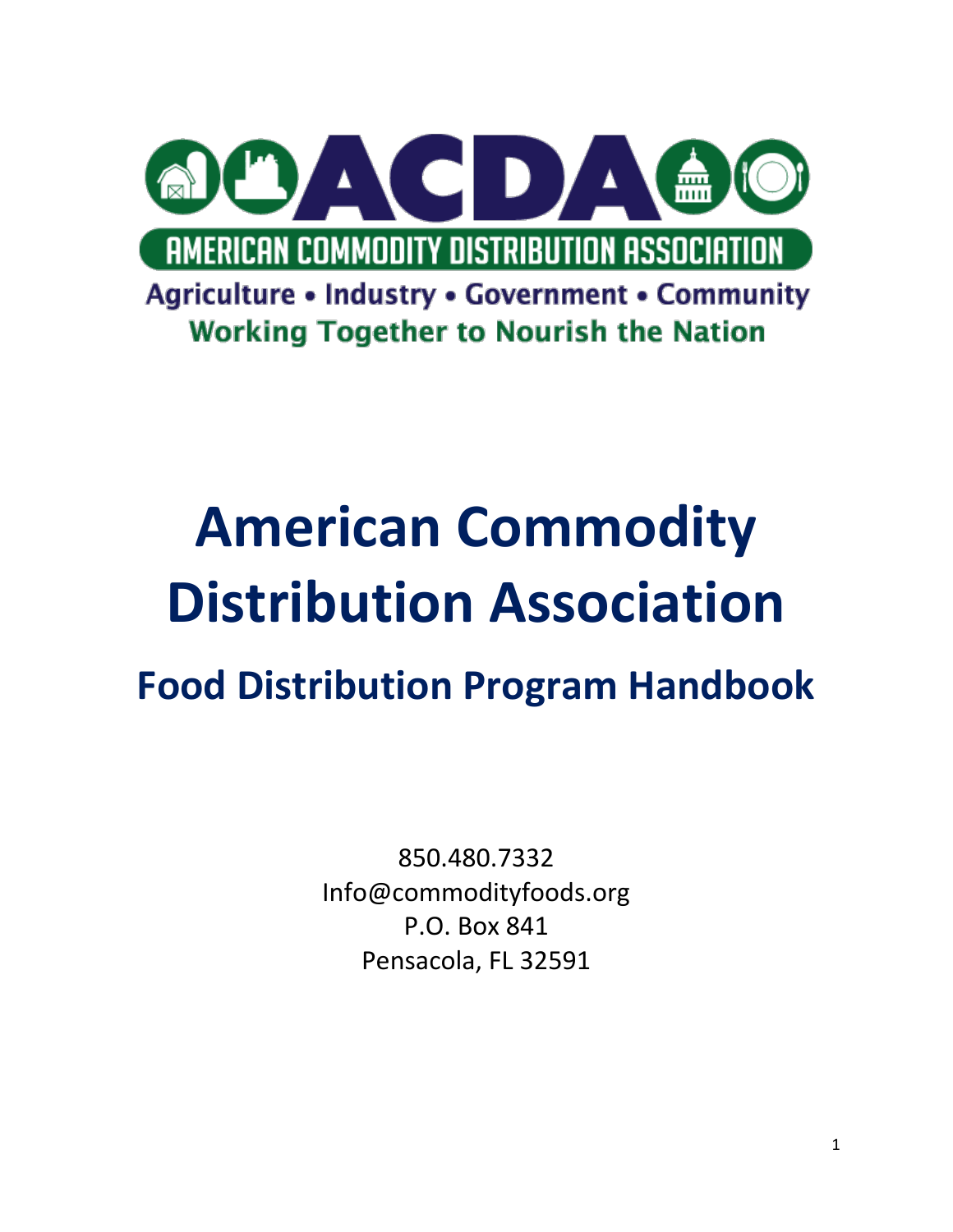

# **American Commodity Distribution Association**

**Food Distribution Program Handbook**

850.480.7332 Info@commodityfoods.org P.O. Box 841 Pensacola, FL 32591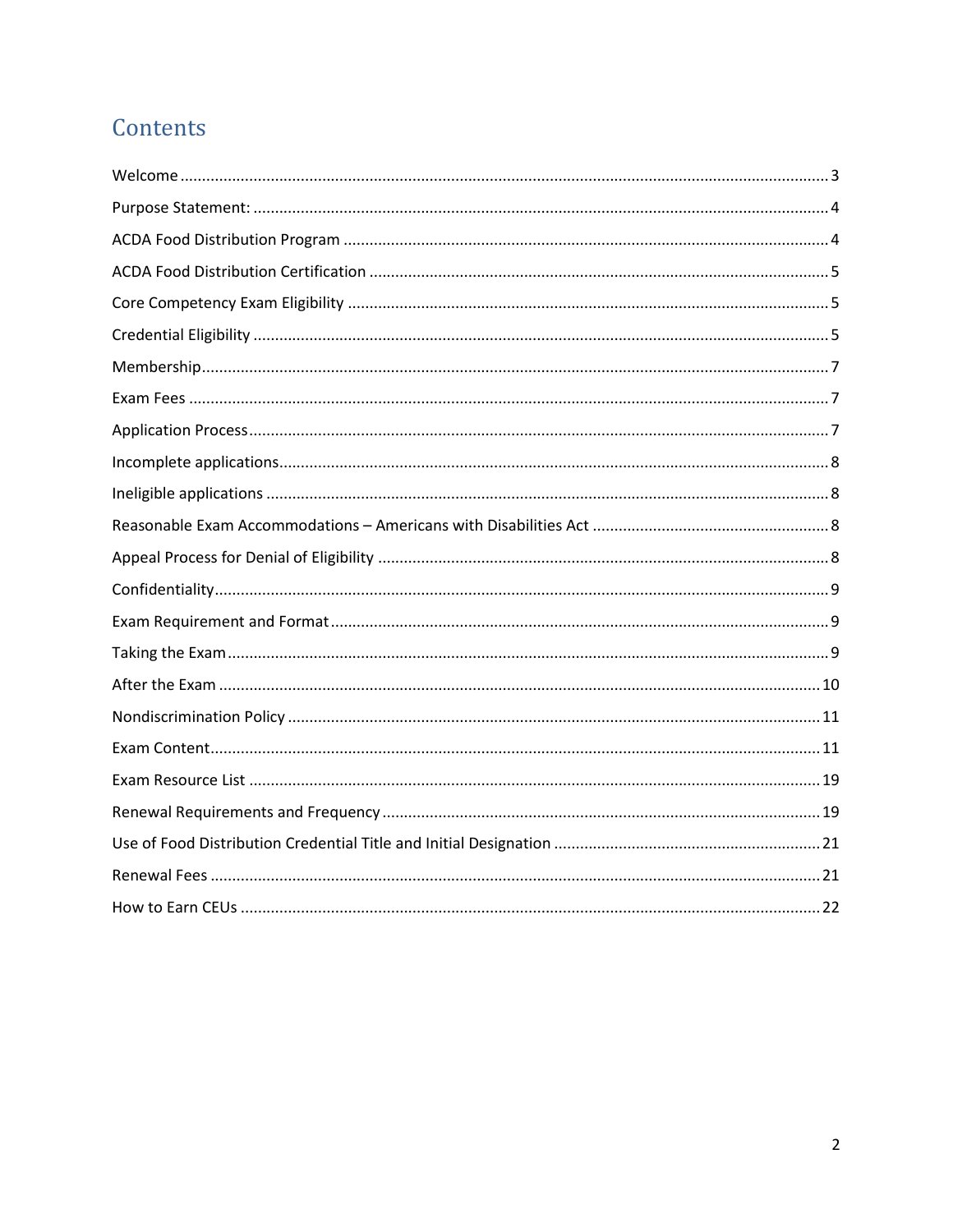# Contents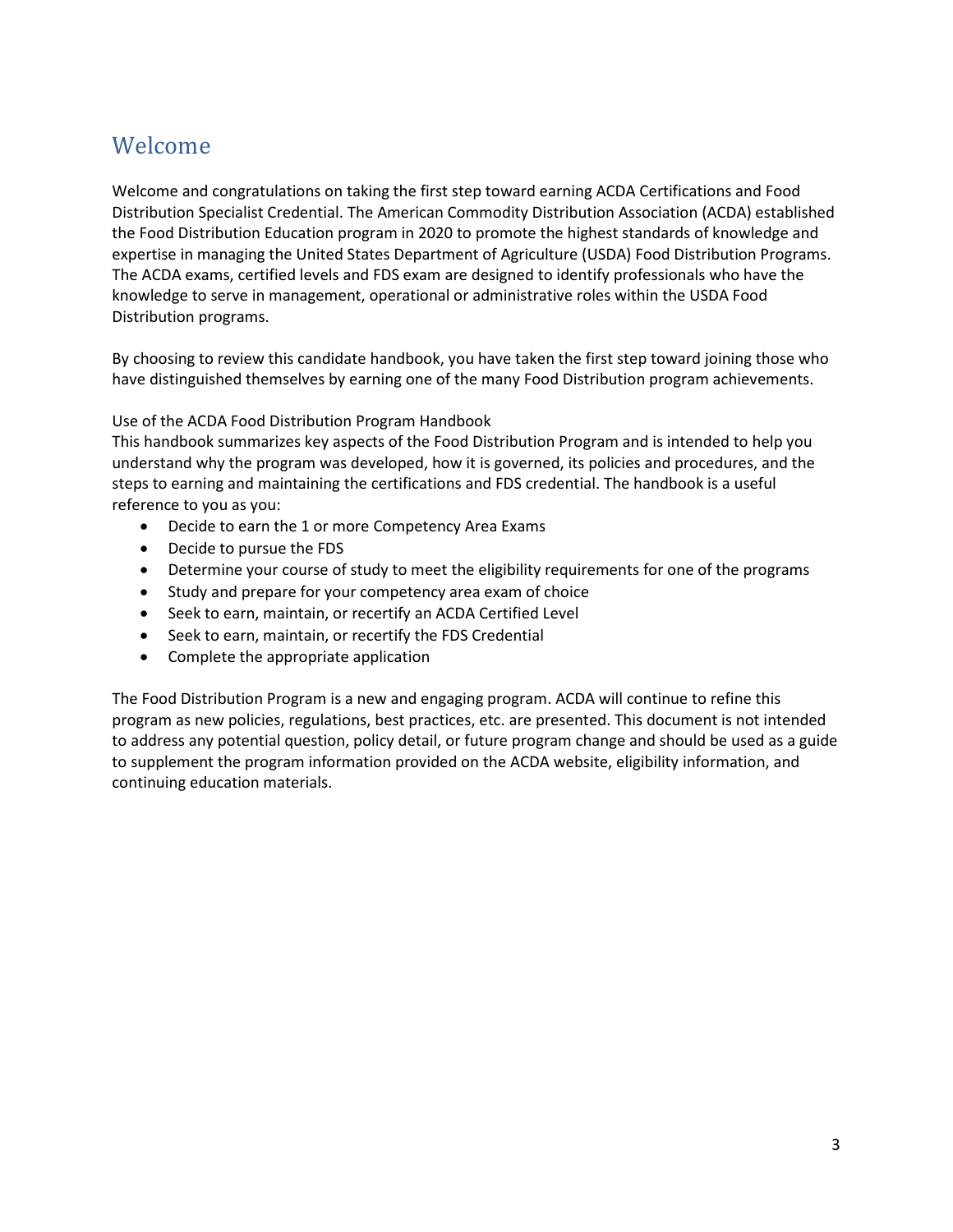### <span id="page-2-0"></span>Welcome

Welcome and congratulations on taking the first step toward earning ACDA Certifications and Food Distribution Specialist Credential. The American Commodity Distribution Association (ACDA) established the Food Distribution Education program in 2020 to promote the highest standards of knowledge and expertise in managing the United States Department of Agriculture (USDA) Food Distribution Programs. The ACDA exams, certified levels and FDS exam are designed to identify professionals who have the knowledge to serve in management, operational or administrative roles within the USDA Food Distribution programs.

By choosing to review this candidate handbook, you have taken the first step toward joining those who have distinguished themselves by earning one of the many Food Distribution program achievements.

#### Use of the ACDA Food Distribution Program Handbook

This handbook summarizes key aspects of the Food Distribution Program and is intended to help you understand why the program was developed, how it is governed, its policies and procedures, and the steps to earning and maintaining the certifications and FDS credential. The handbook is a useful reference to you as you:

- Decide to earn the 1 or more Competency Area Exams
- Decide to pursue the FDS
- Determine your course of study to meet the eligibility requirements for one of the programs
- Study and prepare for your competency area exam of choice
- Seek to earn, maintain, or recertify an ACDA Certified Level
- Seek to earn, maintain, or recertify the FDS Credential
- Complete the appropriate application

The Food Distribution Program is a new and engaging program. ACDA will continue to refine this program as new policies, regulations, best practices, etc. are presented. This document is not intended to address any potential question, policy detail, or future program change and should be used as a guide to supplement the program information provided on the ACDA website, eligibility information, and continuing education materials.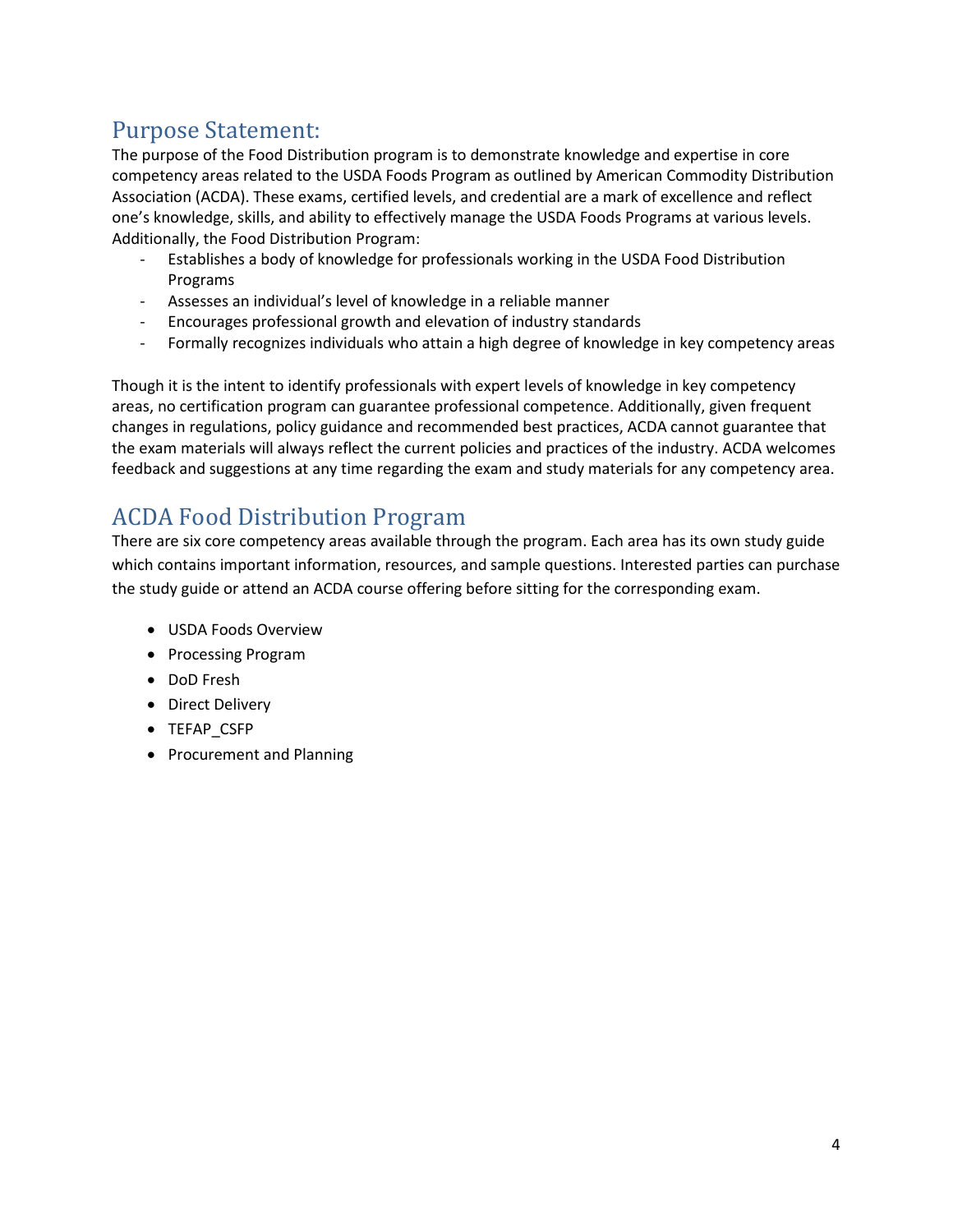## <span id="page-3-0"></span>Purpose Statement:

The purpose of the Food Distribution program is to demonstrate knowledge and expertise in core competency areas related to the USDA Foods Program as outlined by American Commodity Distribution Association (ACDA). These exams, certified levels, and credential are a mark of excellence and reflect one's knowledge, skills, and ability to effectively manage the USDA Foods Programs at various levels. Additionally, the Food Distribution Program:

- Establishes a body of knowledge for professionals working in the USDA Food Distribution Programs
- Assesses an individual's level of knowledge in a reliable manner
- Encourages professional growth and elevation of industry standards
- Formally recognizes individuals who attain a high degree of knowledge in key competency areas

Though it is the intent to identify professionals with expert levels of knowledge in key competency areas, no certification program can guarantee professional competence. Additionally, given frequent changes in regulations, policy guidance and recommended best practices, ACDA cannot guarantee that the exam materials will always reflect the current policies and practices of the industry. ACDA welcomes feedback and suggestions at any time regarding the exam and study materials for any competency area.

### <span id="page-3-1"></span>ACDA Food Distribution Program

There are six core competency areas available through the program. Each area has its own study guide which contains important information, resources, and sample questions. Interested parties can purchase the study guide or attend an ACDA course offering before sitting for the corresponding exam.

- USDA Foods Overview
- Processing Program
- DoD Fresh
- Direct Delivery
- TEFAP\_CSFP
- Procurement and Planning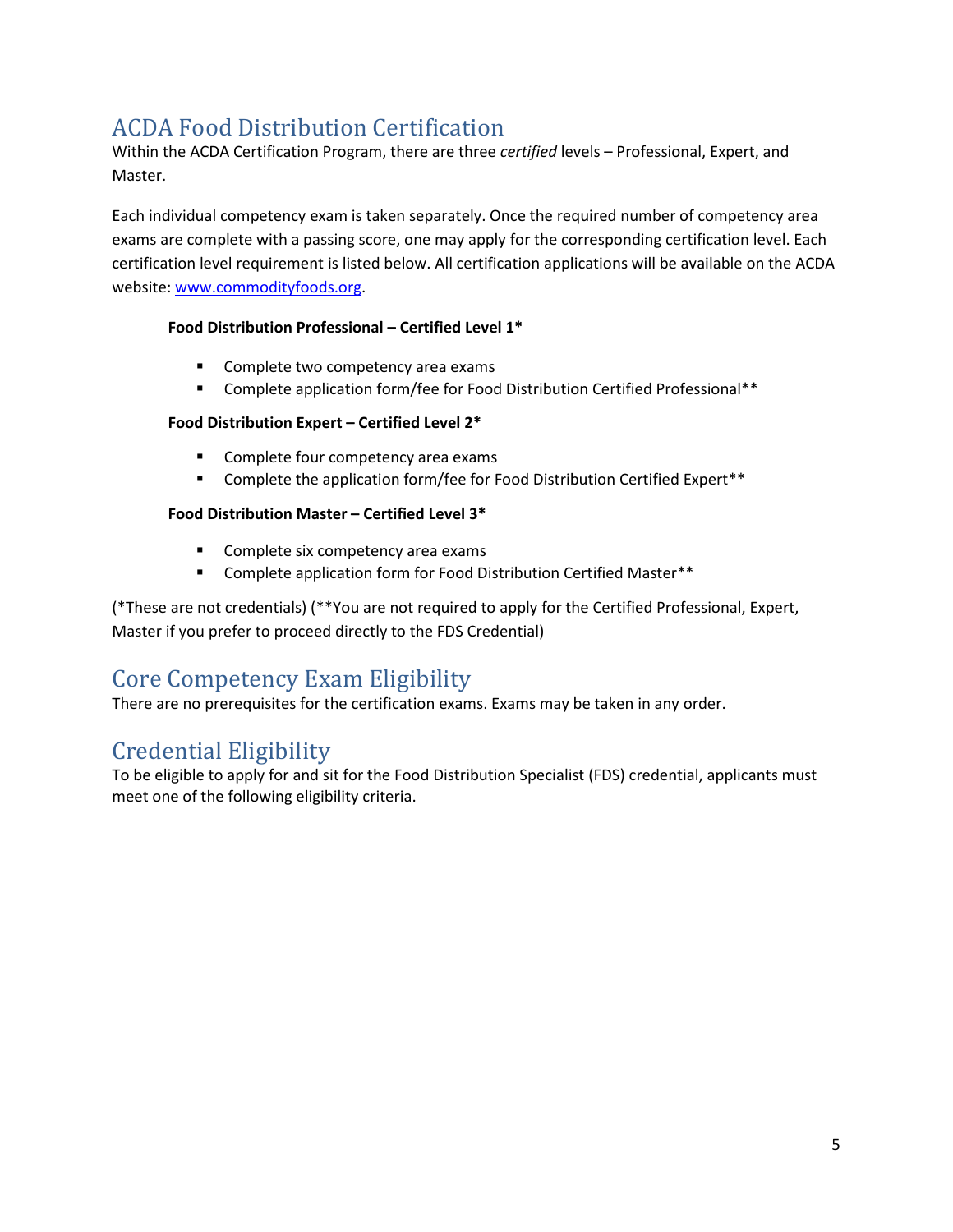# <span id="page-4-0"></span>ACDA Food Distribution Certification

Within the ACDA Certification Program, there are three *certified* levels – Professional, Expert, and Master.

Each individual competency exam is taken separately. Once the required number of competency area exams are complete with a passing score, one may apply for the corresponding certification level. Each certification level requirement is listed below. All certification applications will be available on the ACDA website[: www.commodityfoods.org.](http://www.commodityfoods.org/)

#### **Food Distribution Professional – Certified Level 1\***

- **Complete two competency area exams**
- Complete application form/fee for Food Distribution Certified Professional\*\*

#### **Food Distribution Expert – Certified Level 2\***

- Complete four competency area exams
- **EXECOMPLET COMPLET EXAMPLE THE APPLICAT COMPLET FOR A LOCAL FORM FOR FIGURE THE COMPLET FIGURE THE COMPLET FIGURE THE COMPLET FIGURE THE COMPLET FIGURE THE COMPLET FIGURE THE COMPLET FIGURE THE COMPLET FIGURE THE COMPLET**

#### **Food Distribution Master – Certified Level 3\***

- **Complete six competency area exams**
- **EXECOMPLETE Application form for Food Distribution Certified Master\*\***

(\*These are not credentials) (\*\*You are not required to apply for the Certified Professional, Expert, Master if you prefer to proceed directly to the FDS Credential)

# <span id="page-4-1"></span>Core Competency Exam Eligibility

There are no prerequisites for the certification exams. Exams may be taken in any order.

# <span id="page-4-2"></span>Credential Eligibility

To be eligible to apply for and sit for the Food Distribution Specialist (FDS) credential, applicants must meet one of the following eligibility criteria.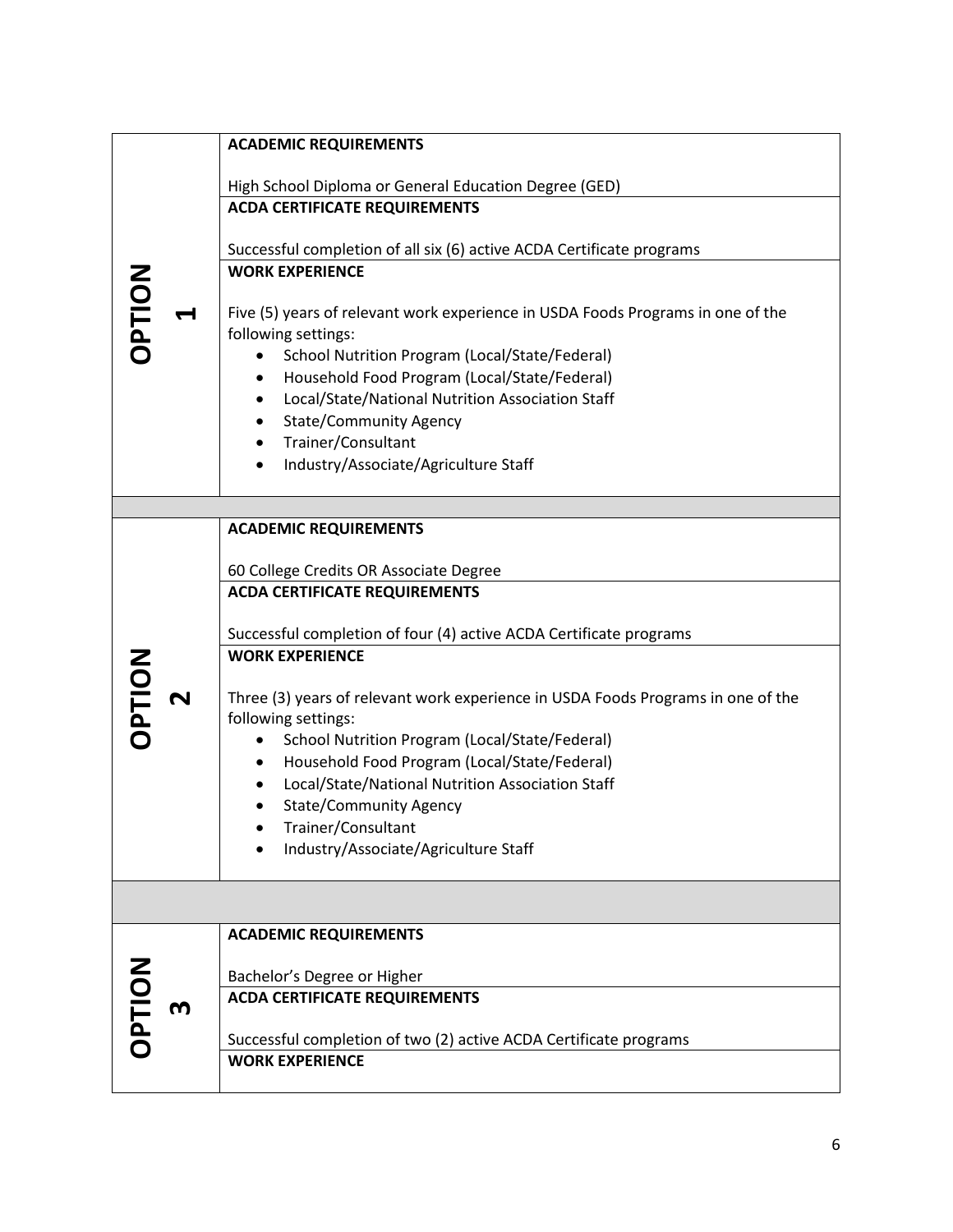|               |                      | <b>ACADEMIC REQUIREMENTS</b>                                                     |
|---------------|----------------------|----------------------------------------------------------------------------------|
|               |                      | High School Diploma or General Education Degree (GED)                            |
|               |                      | <b>ACDA CERTIFICATE REQUIREMENTS</b>                                             |
|               |                      |                                                                                  |
|               |                      | Successful completion of all six (6) active ACDA Certificate programs            |
|               |                      | <b>WORK EXPERIENCE</b>                                                           |
| <b>OPTION</b> |                      |                                                                                  |
|               |                      | Five (5) years of relevant work experience in USDA Foods Programs in one of the  |
|               |                      | following settings:                                                              |
|               |                      | School Nutrition Program (Local/State/Federal)                                   |
|               |                      | Household Food Program (Local/State/Federal)                                     |
|               |                      | Local/State/National Nutrition Association Staff                                 |
|               |                      | <b>State/Community Agency</b>                                                    |
|               |                      | Trainer/Consultant                                                               |
|               |                      | Industry/Associate/Agriculture Staff                                             |
|               |                      |                                                                                  |
|               |                      |                                                                                  |
|               |                      | <b>ACADEMIC REQUIREMENTS</b>                                                     |
|               |                      |                                                                                  |
|               |                      | 60 College Credits OR Associate Degree                                           |
|               | $\blacktriangleleft$ | <b>ACDA CERTIFICATE REQUIREMENTS</b>                                             |
|               |                      |                                                                                  |
|               |                      | Successful completion of four (4) active ACDA Certificate programs               |
|               |                      | <b>WORK EXPERIENCE</b>                                                           |
| <b>OPTION</b> |                      |                                                                                  |
|               |                      | Three (3) years of relevant work experience in USDA Foods Programs in one of the |
|               |                      | following settings:                                                              |
|               |                      | School Nutrition Program (Local/State/Federal)                                   |
|               |                      | Household Food Program (Local/State/Federal)                                     |
|               |                      | Local/State/National Nutrition Association Staff                                 |
|               |                      | <b>State/Community Agency</b>                                                    |
|               |                      | Trainer/Consultant                                                               |
|               |                      | Industry/Associate/Agriculture Staff                                             |
|               |                      |                                                                                  |
|               |                      |                                                                                  |
|               |                      | <b>ACADEMIC REQUIREMENTS</b>                                                     |
|               |                      |                                                                                  |
|               | m                    | Bachelor's Degree or Higher                                                      |
|               |                      | <b>ACDA CERTIFICATE REQUIREMENTS</b>                                             |
|               |                      |                                                                                  |
| <b>NOILdD</b> |                      | Successful completion of two (2) active ACDA Certificate programs                |
|               |                      | <b>WORK EXPERIENCE</b>                                                           |
|               |                      |                                                                                  |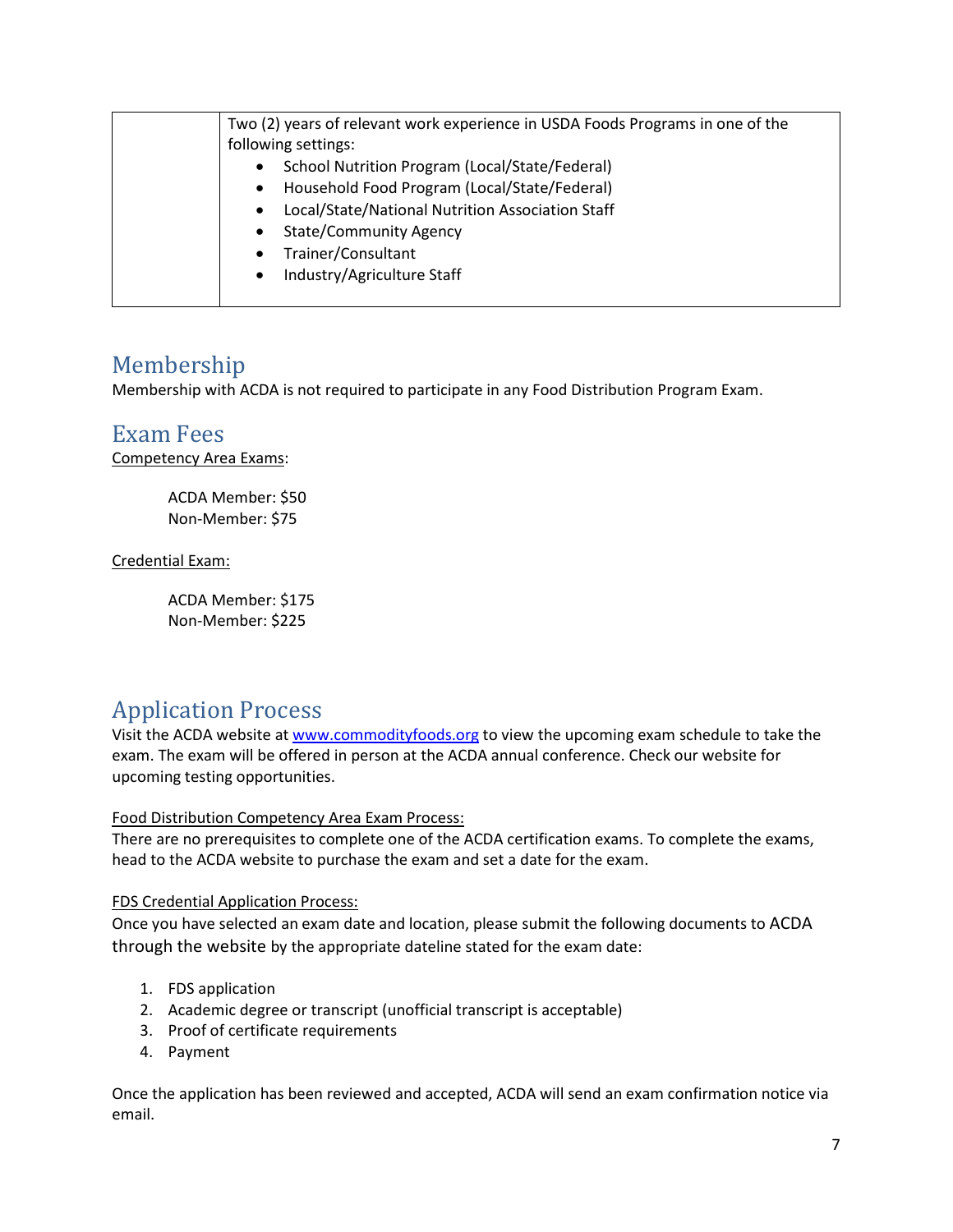| Two (2) years of relevant work experience in USDA Foods Programs in one of the |
|--------------------------------------------------------------------------------|
| following settings:                                                            |
| School Nutrition Program (Local/State/Federal)<br>$\bullet$                    |
| Household Food Program (Local/State/Federal)<br>$\bullet$                      |
| Local/State/National Nutrition Association Staff<br>$\bullet$                  |
| <b>State/Community Agency</b>                                                  |
| Trainer/Consultant                                                             |
| Industry/Agriculture Staff                                                     |
|                                                                                |

### <span id="page-6-0"></span>Membership

<span id="page-6-1"></span>Membership with ACDA is not required to participate in any Food Distribution Program Exam.

### Exam Fees

Competency Area Exams:

ACDA Member: \$50 Non-Member: \$75

Credential Exam:

ACDA Member: \$175 Non-Member: \$225

### <span id="page-6-2"></span>Application Process

Visit the ACDA website at [www.commodityfoods.org](http://www.commodityfoods.org/) to view the upcoming exam schedule to take the exam. The exam will be offered in person at the ACDA annual conference. Check our website for upcoming testing opportunities.

#### Food Distribution Competency Area Exam Process:

There are no prerequisites to complete one of the ACDA certification exams. To complete the exams, head to the ACDA website to purchase the exam and set a date for the exam.

#### FDS Credential Application Process:

Once you have selected an exam date and location, please submit the following documents to ACDA through the website by the appropriate dateline stated for the exam date:

- 1. FDS application
- 2. Academic degree or transcript (unofficial transcript is acceptable)
- 3. Proof of certificate requirements
- 4. Payment

Once the application has been reviewed and accepted, ACDA will send an exam confirmation notice via email.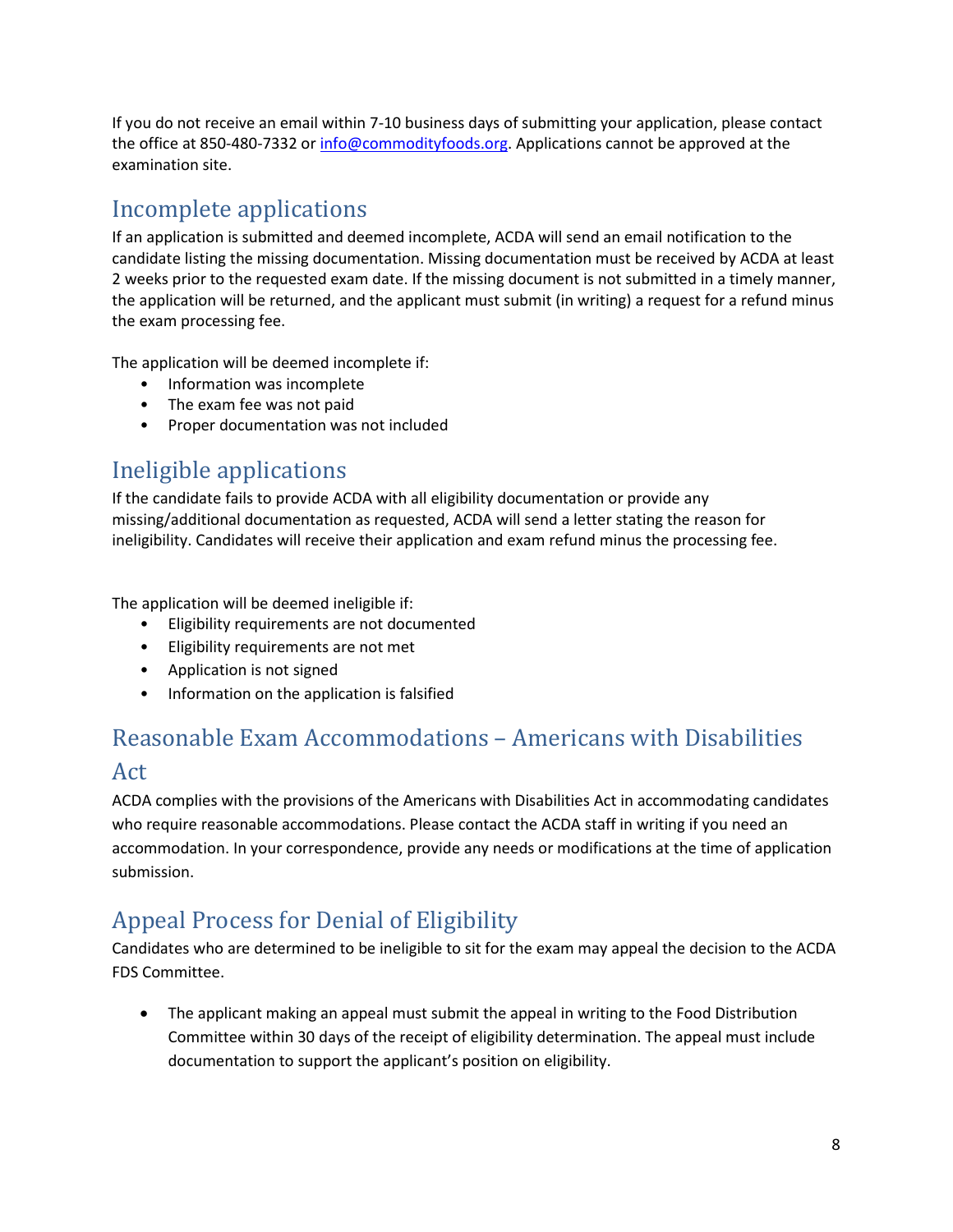If you do not receive an email within 7-10 business days of submitting your application, please contact the office at 850-480-7332 o[r info@commodityfoods.org.](mailto:info@commodityfoods.org) Applications cannot be approved at the examination site.

# <span id="page-7-0"></span>Incomplete applications

If an application is submitted and deemed incomplete, ACDA will send an email notification to the candidate listing the missing documentation. Missing documentation must be received by ACDA at least 2 weeks prior to the requested exam date. If the missing document is not submitted in a timely manner, the application will be returned, and the applicant must submit (in writing) a request for a refund minus the exam processing fee.

The application will be deemed incomplete if:

- Information was incomplete
- The exam fee was not paid
- Proper documentation was not included

# <span id="page-7-1"></span>Ineligible applications

If the candidate fails to provide ACDA with all eligibility documentation or provide any missing/additional documentation as requested, ACDA will send a letter stating the reason for ineligibility. Candidates will receive their application and exam refund minus the processing fee.

The application will be deemed ineligible if:

- Eligibility requirements are not documented
- Eligibility requirements are not met
- Application is not signed
- Information on the application is falsified

# <span id="page-7-2"></span>Reasonable Exam Accommodations – Americans with Disabilities Act

ACDA complies with the provisions of the Americans with Disabilities Act in accommodating candidates who require reasonable accommodations. Please contact the ACDA staff in writing if you need an accommodation. In your correspondence, provide any needs or modifications at the time of application submission.

### <span id="page-7-3"></span>Appeal Process for Denial of Eligibility

Candidates who are determined to be ineligible to sit for the exam may appeal the decision to the ACDA FDS Committee.

• The applicant making an appeal must submit the appeal in writing to the Food Distribution Committee within 30 days of the receipt of eligibility determination. The appeal must include documentation to support the applicant's position on eligibility.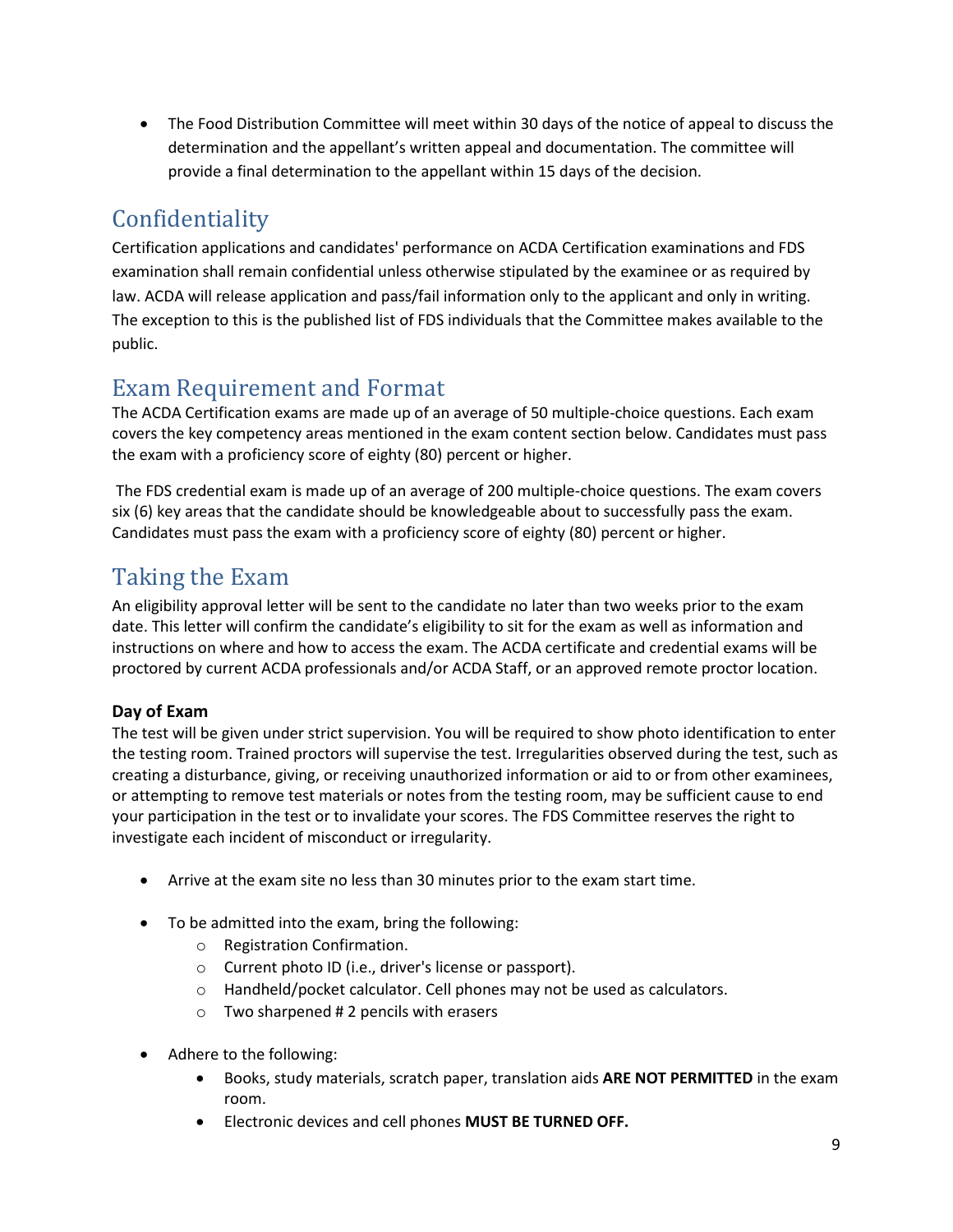• The Food Distribution Committee will meet within 30 days of the notice of appeal to discuss the determination and the appellant's written appeal and documentation. The committee will provide a final determination to the appellant within 15 days of the decision.

# <span id="page-8-0"></span>Confidentiality

Certification applications and candidates' performance on ACDA Certification examinations and FDS examination shall remain confidential unless otherwise stipulated by the examinee or as required by law. ACDA will release application and pass/fail information only to the applicant and only in writing. The exception to this is the published list of FDS individuals that the Committee makes available to the public.

### <span id="page-8-1"></span>Exam Requirement and Format

The ACDA Certification exams are made up of an average of 50 multiple-choice questions. Each exam covers the key competency areas mentioned in the exam content section below. Candidates must pass the exam with a proficiency score of eighty (80) percent or higher.

The FDS credential exam is made up of an average of 200 multiple-choice questions. The exam covers six (6) key areas that the candidate should be knowledgeable about to successfully pass the exam. Candidates must pass the exam with a proficiency score of eighty (80) percent or higher.

# <span id="page-8-2"></span>Taking the Exam

An eligibility approval letter will be sent to the candidate no later than two weeks prior to the exam date. This letter will confirm the candidate's eligibility to sit for the exam as well as information and instructions on where and how to access the exam. The ACDA certificate and credential exams will be proctored by current ACDA professionals and/or ACDA Staff, or an approved remote proctor location.

#### **Day of Exam**

The test will be given under strict supervision. You will be required to show photo identification to enter the testing room. Trained proctors will supervise the test. Irregularities observed during the test, such as creating a disturbance, giving, or receiving unauthorized information or aid to or from other examinees, or attempting to remove test materials or notes from the testing room, may be sufficient cause to end your participation in the test or to invalidate your scores. The FDS Committee reserves the right to investigate each incident of misconduct or irregularity.

- Arrive at the exam site no less than 30 minutes prior to the exam start time.
- To be admitted into the exam, bring the following:
	- o Registration Confirmation.
	- o Current photo ID (i.e., driver's license or passport).
	- o Handheld/pocket calculator. Cell phones may not be used as calculators.
	- o Two sharpened # 2 pencils with erasers
- Adhere to the following:
	- Books, study materials, scratch paper, translation aids **ARE NOT PERMITTED** in the exam room.
	- Electronic devices and cell phones **MUST BE TURNED OFF.**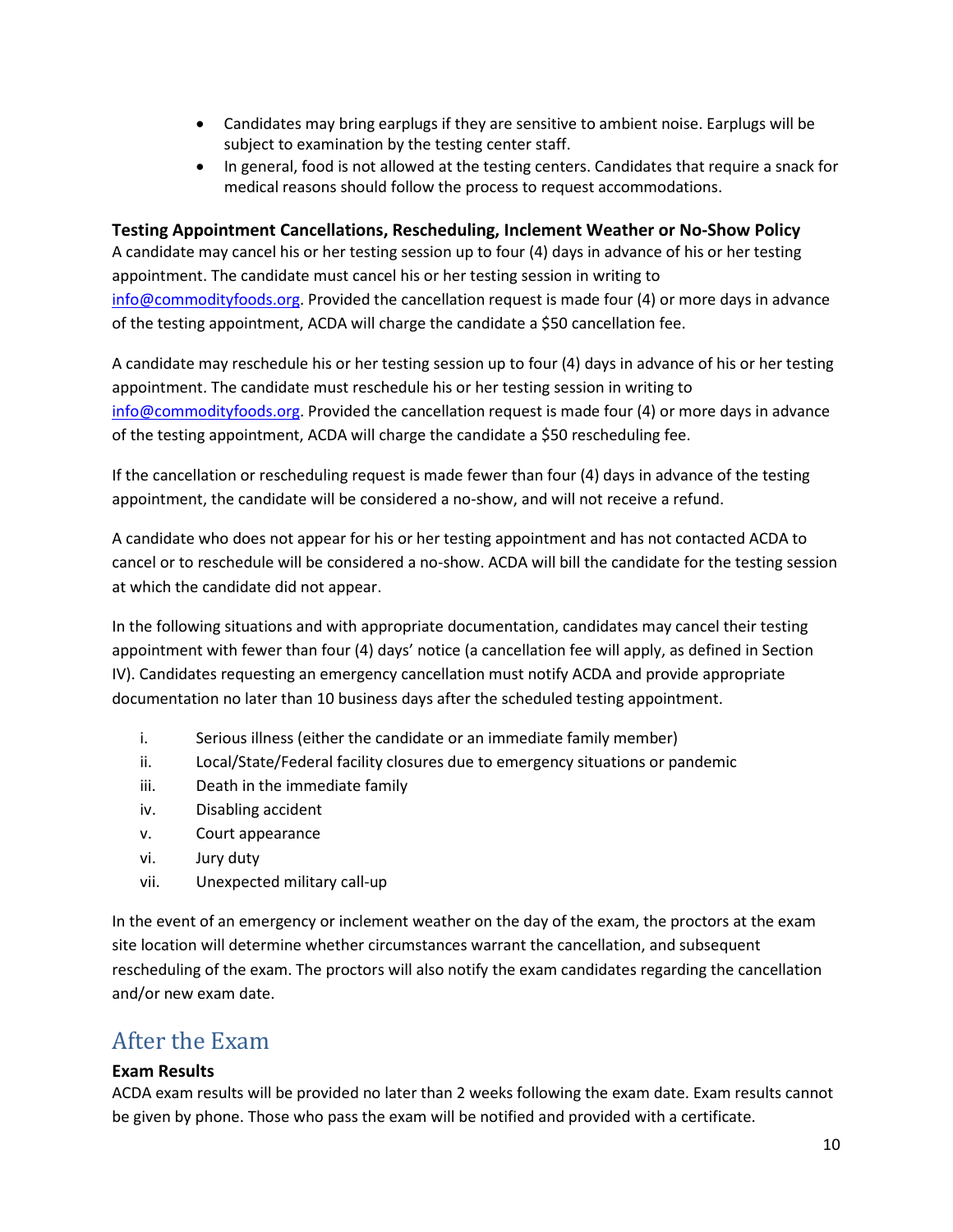- Candidates may bring earplugs if they are sensitive to ambient noise. Earplugs will be subject to examination by the testing center staff.
- In general, food is not allowed at the testing centers. Candidates that require a snack for medical reasons should follow the process to request accommodations.

#### **Testing Appointment Cancellations, Rescheduling, Inclement Weather or No-Show Policy**

A candidate may cancel his or her testing session up to four (4) days in advance of his or her testing appointment. The candidate must cancel his or her testing session in writing to [info@commodityfoods.org.](mailto:info@commodityfoods.org) Provided the cancellation request is made four (4) or more days in advance of the testing appointment, ACDA will charge the candidate a \$50 cancellation fee.

A candidate may reschedule his or her testing session up to four (4) days in advance of his or her testing appointment. The candidate must reschedule his or her testing session in writing to [info@commodityfoods.org.](mailto:info@commodityfoods.org) Provided the cancellation request is made four (4) or more days in advance of the testing appointment, ACDA will charge the candidate a \$50 rescheduling fee.

If the cancellation or rescheduling request is made fewer than four (4) days in advance of the testing appointment, the candidate will be considered a no-show, and will not receive a refund.

A candidate who does not appear for his or her testing appointment and has not contacted ACDA to cancel or to reschedule will be considered a no-show. ACDA will bill the candidate for the testing session at which the candidate did not appear.

In the following situations and with appropriate documentation, candidates may cancel their testing appointment with fewer than four (4) days' notice (a cancellation fee will apply, as defined in Section IV). Candidates requesting an emergency cancellation must notify ACDA and provide appropriate documentation no later than 10 business days after the scheduled testing appointment.

- i. Serious illness (either the candidate or an immediate family member)
- ii. Local/State/Federal facility closures due to emergency situations or pandemic
- iii. Death in the immediate family
- iv. Disabling accident
- v. Court appearance
- vi. Jury duty
- vii. Unexpected military call-up

In the event of an emergency or inclement weather on the day of the exam, the proctors at the exam site location will determine whether circumstances warrant the cancellation, and subsequent rescheduling of the exam. The proctors will also notify the exam candidates regarding the cancellation and/or new exam date.

### <span id="page-9-0"></span>After the Exam

#### **Exam Results**

ACDA exam results will be provided no later than 2 weeks following the exam date. Exam results cannot be given by phone. Those who pass the exam will be notified and provided with a certificate.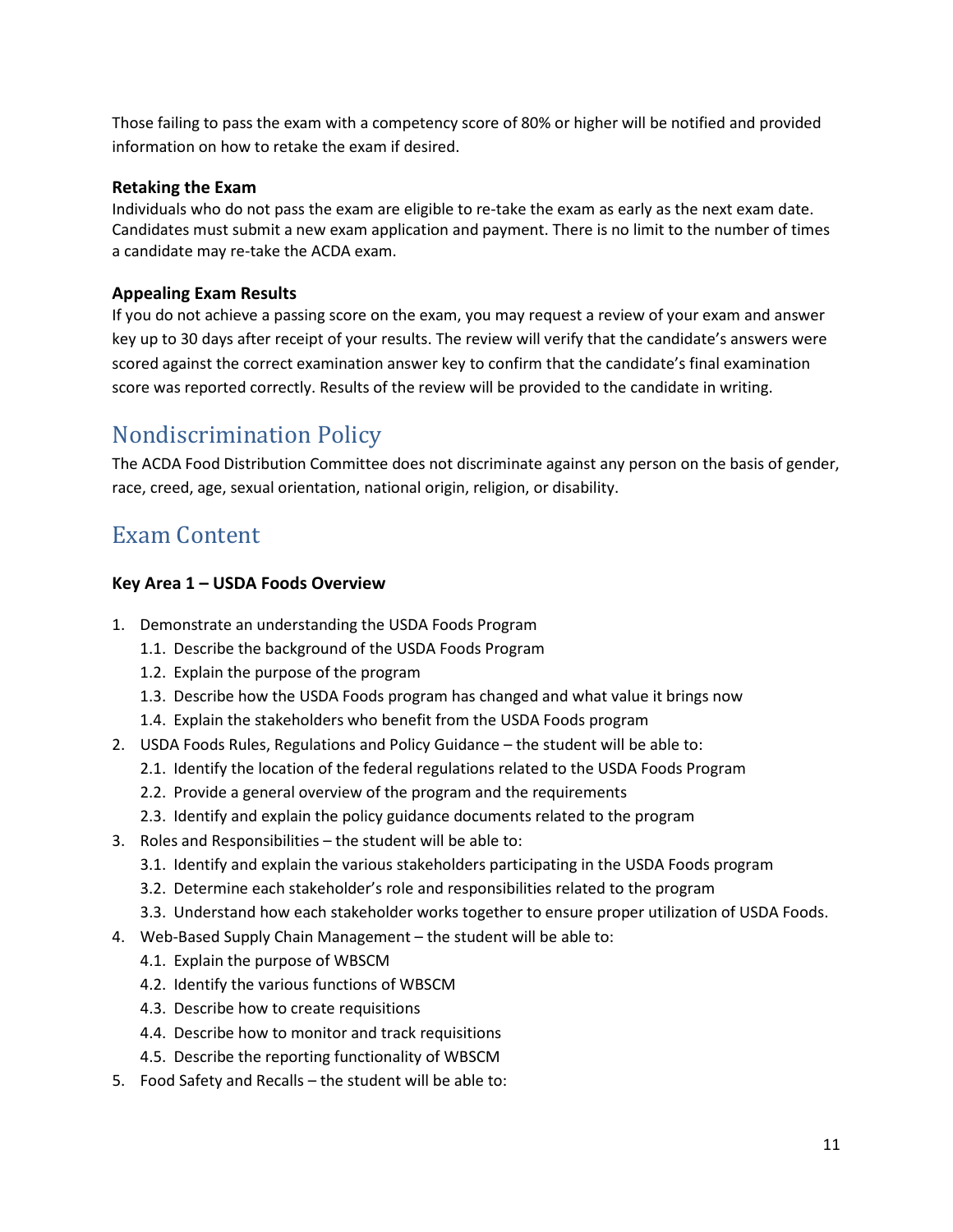Those failing to pass the exam with a competency score of 80% or higher will be notified and provided information on how to retake the exam if desired.

#### **Retaking the Exam**

Individuals who do not pass the exam are eligible to re-take the exam as early as the next exam date. Candidates must submit a new exam application and payment. There is no limit to the number of times a candidate may re-take the ACDA exam.

#### **Appealing Exam Results**

If you do not achieve a passing score on the exam, you may request a review of your exam and answer key up to 30 days after receipt of your results. The review will verify that the candidate's answers were scored against the correct examination answer key to confirm that the candidate's final examination score was reported correctly. Results of the review will be provided to the candidate in writing.

### <span id="page-10-0"></span>Nondiscrimination Policy

The ACDA Food Distribution Committee does not discriminate against any person on the basis of gender, race, creed, age, sexual orientation, national origin, religion, or disability.

### <span id="page-10-1"></span>Exam Content

#### **Key Area 1 – USDA Foods Overview**

- 1. Demonstrate an understanding the USDA Foods Program
	- 1.1. Describe the background of the USDA Foods Program
	- 1.2. Explain the purpose of the program
	- 1.3. Describe how the USDA Foods program has changed and what value it brings now
	- 1.4. Explain the stakeholders who benefit from the USDA Foods program
- 2. USDA Foods Rules, Regulations and Policy Guidance the student will be able to:
	- 2.1. Identify the location of the federal regulations related to the USDA Foods Program
	- 2.2. Provide a general overview of the program and the requirements
	- 2.3. Identify and explain the policy guidance documents related to the program
- 3. Roles and Responsibilities the student will be able to:
	- 3.1. Identify and explain the various stakeholders participating in the USDA Foods program
	- 3.2. Determine each stakeholder's role and responsibilities related to the program
	- 3.3. Understand how each stakeholder works together to ensure proper utilization of USDA Foods.
- 4. Web-Based Supply Chain Management the student will be able to:
	- 4.1. Explain the purpose of WBSCM
	- 4.2. Identify the various functions of WBSCM
	- 4.3. Describe how to create requisitions
	- 4.4. Describe how to monitor and track requisitions
	- 4.5. Describe the reporting functionality of WBSCM
- 5. Food Safety and Recalls the student will be able to: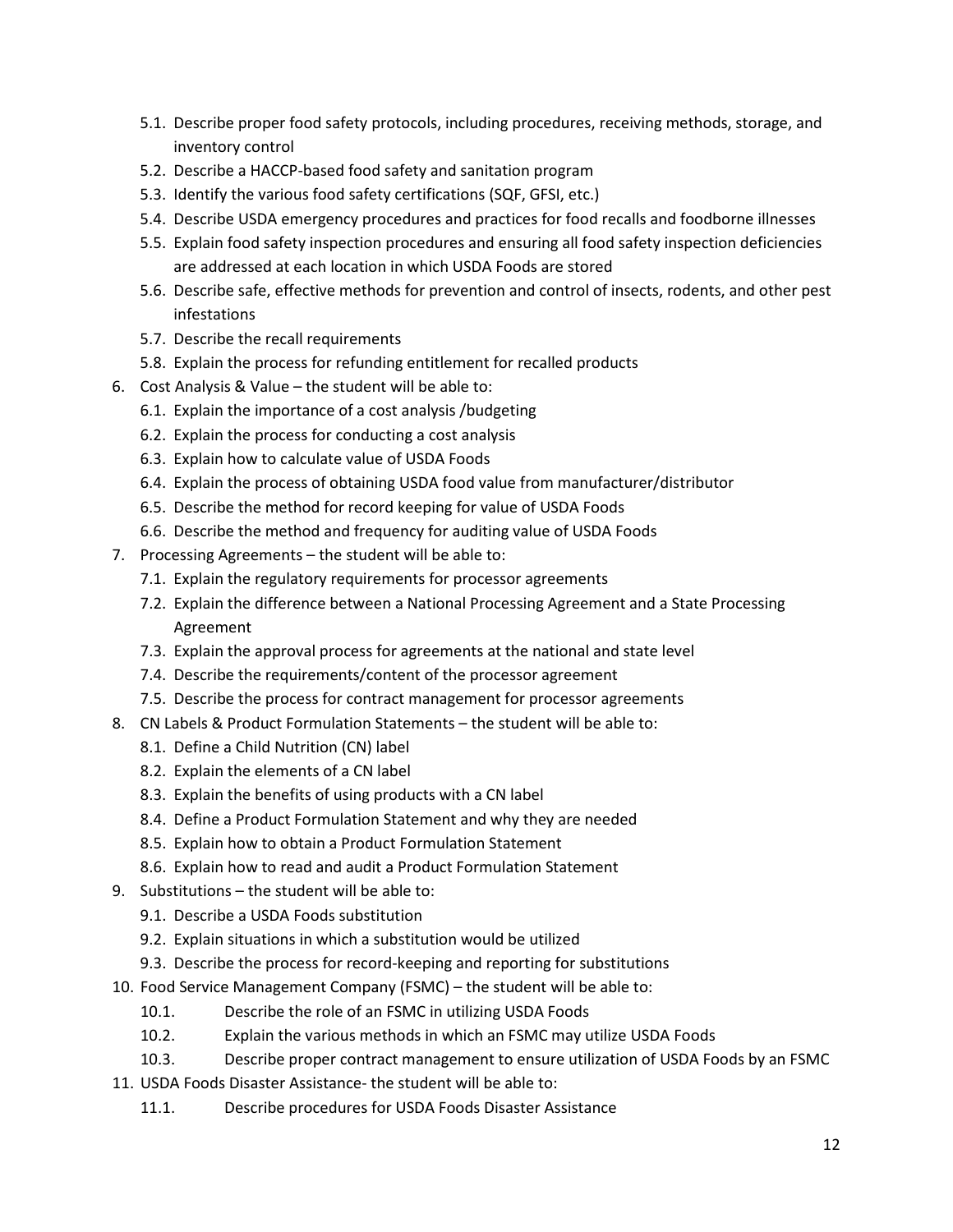- 5.1. Describe proper food safety protocols, including procedures, receiving methods, storage, and inventory control
- 5.2. Describe a HACCP-based food safety and sanitation program
- 5.3. Identify the various food safety certifications (SQF, GFSI, etc.)
- 5.4. Describe USDA emergency procedures and practices for food recalls and foodborne illnesses
- 5.5. Explain food safety inspection procedures and ensuring all food safety inspection deficiencies are addressed at each location in which USDA Foods are stored
- 5.6. Describe safe, effective methods for prevention and control of insects, rodents, and other pest infestations
- 5.7. Describe the recall requirements
- 5.8. Explain the process for refunding entitlement for recalled products
- 6. Cost Analysis & Value the student will be able to:
	- 6.1. Explain the importance of a cost analysis /budgeting
	- 6.2. Explain the process for conducting a cost analysis
	- 6.3. Explain how to calculate value of USDA Foods
	- 6.4. Explain the process of obtaining USDA food value from manufacturer/distributor
	- 6.5. Describe the method for record keeping for value of USDA Foods
	- 6.6. Describe the method and frequency for auditing value of USDA Foods
- 7. Processing Agreements the student will be able to:
	- 7.1. Explain the regulatory requirements for processor agreements
	- 7.2. Explain the difference between a National Processing Agreement and a State Processing Agreement
	- 7.3. Explain the approval process for agreements at the national and state level
	- 7.4. Describe the requirements/content of the processor agreement
	- 7.5. Describe the process for contract management for processor agreements
- 8. CN Labels & Product Formulation Statements the student will be able to:
	- 8.1. Define a Child Nutrition (CN) label
	- 8.2. Explain the elements of a CN label
	- 8.3. Explain the benefits of using products with a CN label
	- 8.4. Define a Product Formulation Statement and why they are needed
	- 8.5. Explain how to obtain a Product Formulation Statement
	- 8.6. Explain how to read and audit a Product Formulation Statement
- 9. Substitutions the student will be able to:
	- 9.1. Describe a USDA Foods substitution
	- 9.2. Explain situations in which a substitution would be utilized
	- 9.3. Describe the process for record-keeping and reporting for substitutions
- 10. Food Service Management Company (FSMC) the student will be able to:
	- 10.1. Describe the role of an FSMC in utilizing USDA Foods
	- 10.2. Explain the various methods in which an FSMC may utilize USDA Foods
	- 10.3. Describe proper contract management to ensure utilization of USDA Foods by an FSMC
- 11. USDA Foods Disaster Assistance- the student will be able to:
	- 11.1. Describe procedures for USDA Foods Disaster Assistance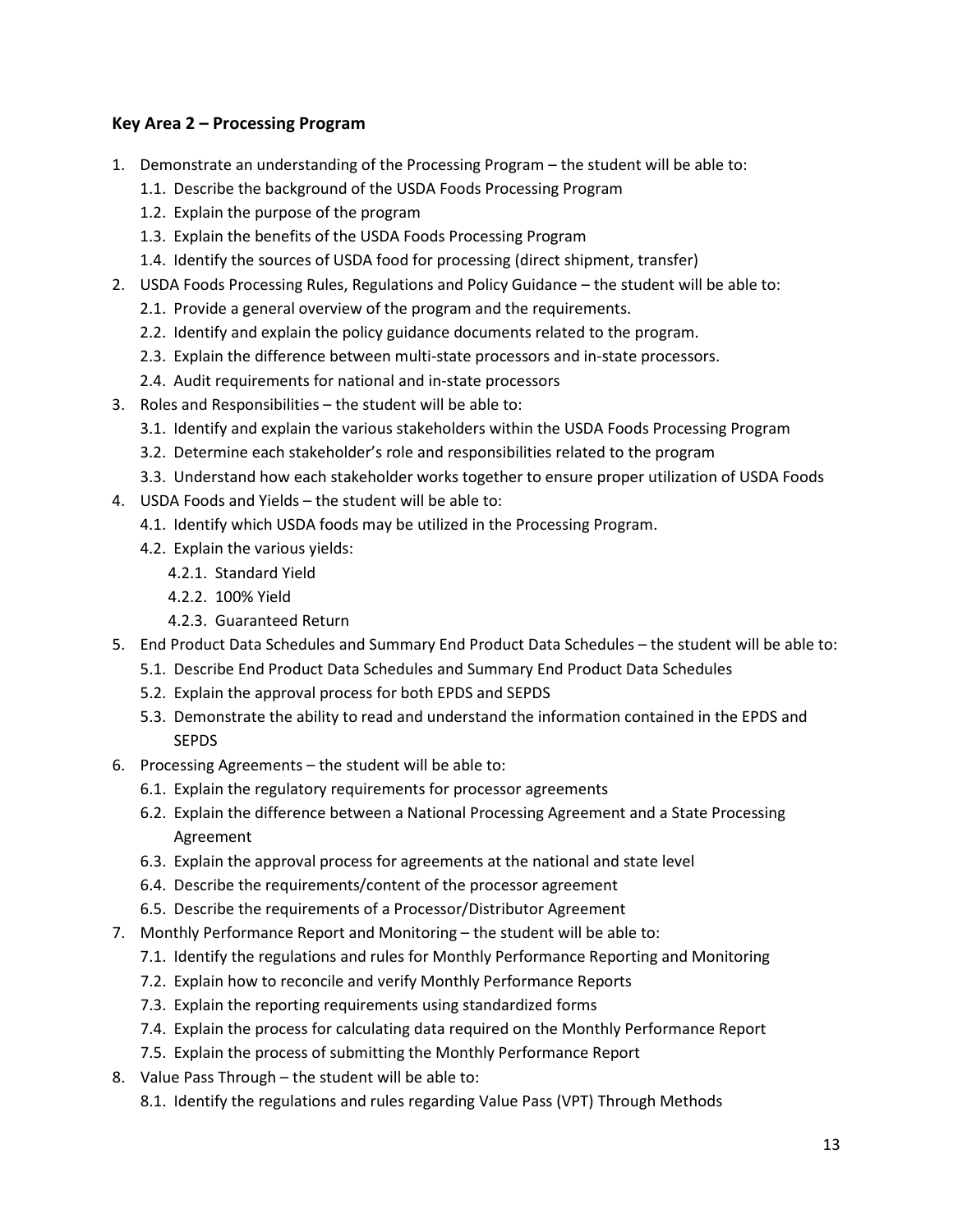#### **Key Area 2 – Processing Program**

- 1. Demonstrate an understanding of the Processing Program the student will be able to:
	- 1.1. Describe the background of the USDA Foods Processing Program
	- 1.2. Explain the purpose of the program
	- 1.3. Explain the benefits of the USDA Foods Processing Program
	- 1.4. Identify the sources of USDA food for processing (direct shipment, transfer)
- 2. USDA Foods Processing Rules, Regulations and Policy Guidance the student will be able to:
	- 2.1. Provide a general overview of the program and the requirements.
	- 2.2. Identify and explain the policy guidance documents related to the program.
	- 2.3. Explain the difference between multi-state processors and in-state processors.
	- 2.4. Audit requirements for national and in-state processors
- 3. Roles and Responsibilities the student will be able to:
	- 3.1. Identify and explain the various stakeholders within the USDA Foods Processing Program
	- 3.2. Determine each stakeholder's role and responsibilities related to the program
	- 3.3. Understand how each stakeholder works together to ensure proper utilization of USDA Foods
- 4. USDA Foods and Yields the student will be able to:
	- 4.1. Identify which USDA foods may be utilized in the Processing Program.
	- 4.2. Explain the various yields:
		- 4.2.1. Standard Yield
		- 4.2.2. 100% Yield
		- 4.2.3. Guaranteed Return
- 5. End Product Data Schedules and Summary End Product Data Schedules the student will be able to:
	- 5.1. Describe End Product Data Schedules and Summary End Product Data Schedules
	- 5.2. Explain the approval process for both EPDS and SEPDS
	- 5.3. Demonstrate the ability to read and understand the information contained in the EPDS and SEPDS
- 6. Processing Agreements the student will be able to:
	- 6.1. Explain the regulatory requirements for processor agreements
	- 6.2. Explain the difference between a National Processing Agreement and a State Processing Agreement
	- 6.3. Explain the approval process for agreements at the national and state level
	- 6.4. Describe the requirements/content of the processor agreement
	- 6.5. Describe the requirements of a Processor/Distributor Agreement
- 7. Monthly Performance Report and Monitoring the student will be able to:
	- 7.1. Identify the regulations and rules for Monthly Performance Reporting and Monitoring
	- 7.2. Explain how to reconcile and verify Monthly Performance Reports
	- 7.3. Explain the reporting requirements using standardized forms
	- 7.4. Explain the process for calculating data required on the Monthly Performance Report
	- 7.5. Explain the process of submitting the Monthly Performance Report
- 8. Value Pass Through the student will be able to:
	- 8.1. Identify the regulations and rules regarding Value Pass (VPT) Through Methods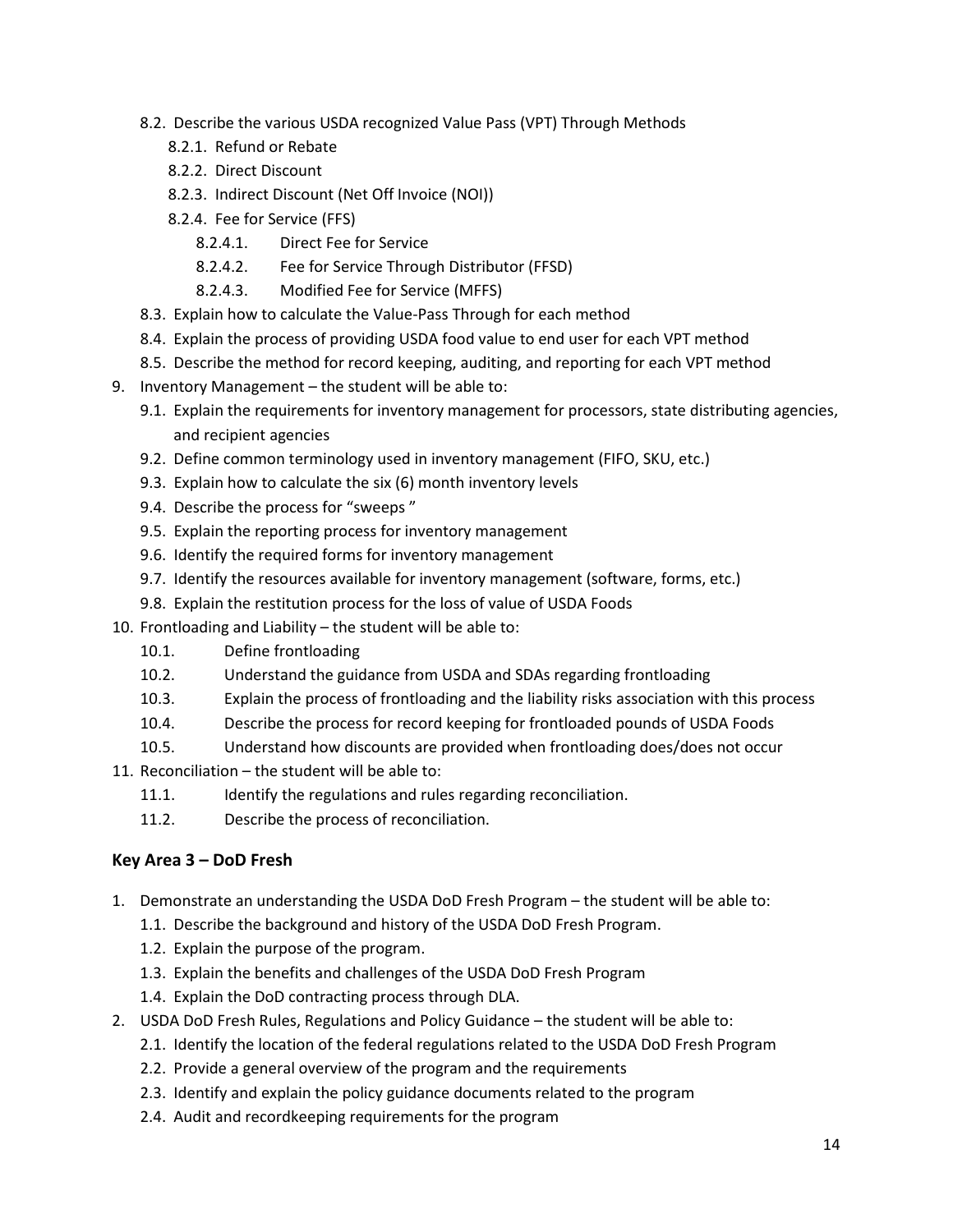- 8.2. Describe the various USDA recognized Value Pass (VPT) Through Methods
	- 8.2.1. Refund or Rebate
	- 8.2.2. Direct Discount
	- 8.2.3. Indirect Discount (Net Off Invoice (NOI))
	- 8.2.4. Fee for Service (FFS)
		- 8.2.4.1. Direct Fee for Service
		- 8.2.4.2. Fee for Service Through Distributor (FFSD)
		- 8.2.4.3. Modified Fee for Service (MFFS)
- 8.3. Explain how to calculate the Value-Pass Through for each method
- 8.4. Explain the process of providing USDA food value to end user for each VPT method
- 8.5. Describe the method for record keeping, auditing, and reporting for each VPT method
- 9. Inventory Management the student will be able to:
	- 9.1. Explain the requirements for inventory management for processors, state distributing agencies, and recipient agencies
	- 9.2. Define common terminology used in inventory management (FIFO, SKU, etc.)
	- 9.3. Explain how to calculate the six (6) month inventory levels
	- 9.4. Describe the process for "sweeps "
	- 9.5. Explain the reporting process for inventory management
	- 9.6. Identify the required forms for inventory management
	- 9.7. Identify the resources available for inventory management (software, forms, etc.)
	- 9.8. Explain the restitution process for the loss of value of USDA Foods
- 10. Frontloading and Liability the student will be able to:
	- 10.1. Define frontloading
	- 10.2. Understand the guidance from USDA and SDAs regarding frontloading
	- 10.3. Explain the process of frontloading and the liability risks association with this process
	- 10.4. Describe the process for record keeping for frontloaded pounds of USDA Foods
	- 10.5. Understand how discounts are provided when frontloading does/does not occur
- 11. Reconciliation the student will be able to:
	- 11.1. Identify the regulations and rules regarding reconciliation.
	- 11.2. Describe the process of reconciliation.

#### **Key Area 3 – DoD Fresh**

- 1. Demonstrate an understanding the USDA DoD Fresh Program the student will be able to:
	- 1.1. Describe the background and history of the USDA DoD Fresh Program.
	- 1.2. Explain the purpose of the program.
	- 1.3. Explain the benefits and challenges of the USDA DoD Fresh Program
	- 1.4. Explain the DoD contracting process through DLA.
- 2. USDA DoD Fresh Rules, Regulations and Policy Guidance the student will be able to:
	- 2.1. Identify the location of the federal regulations related to the USDA DoD Fresh Program
	- 2.2. Provide a general overview of the program and the requirements
	- 2.3. Identify and explain the policy guidance documents related to the program
	- 2.4. Audit and recordkeeping requirements for the program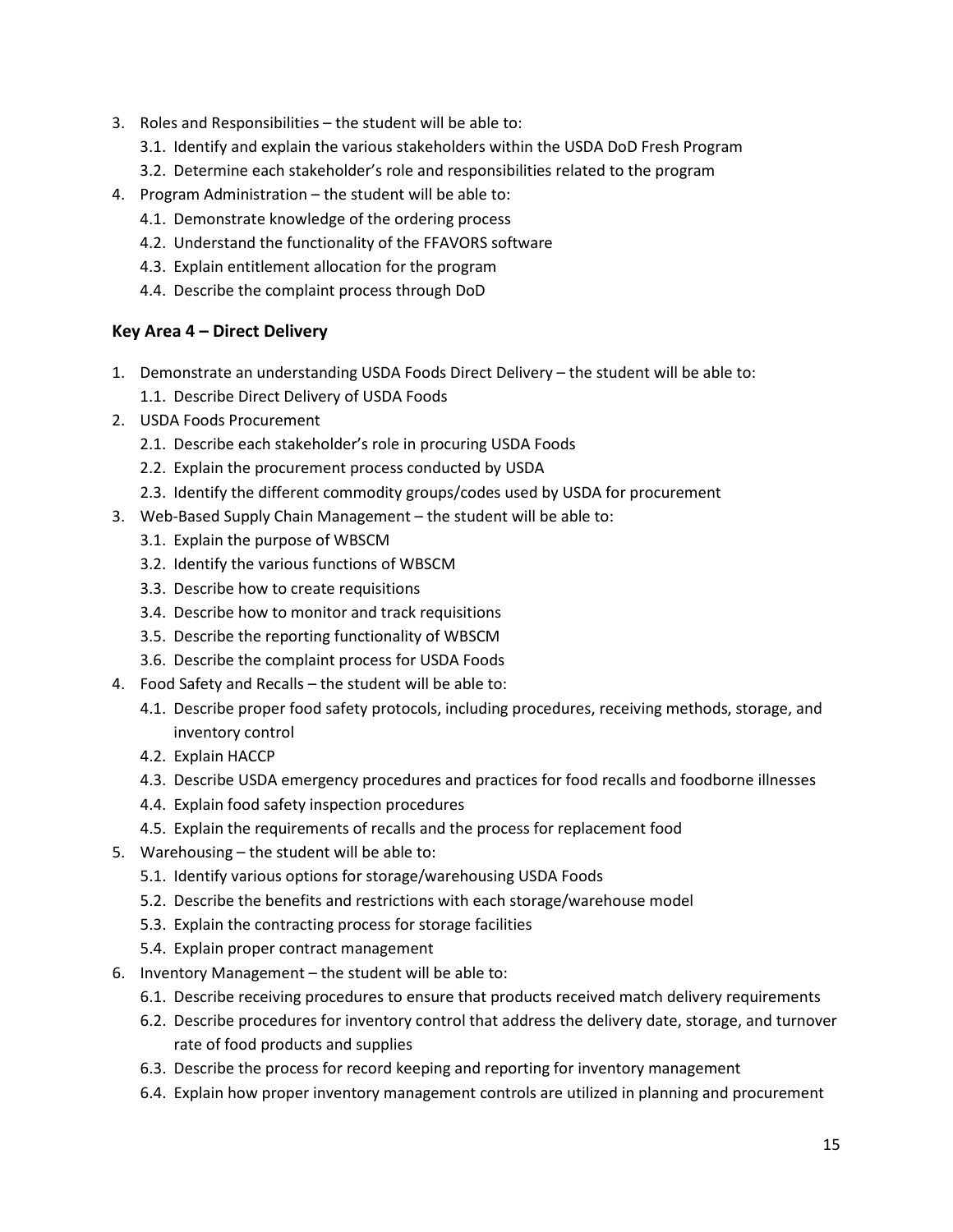- 3. Roles and Responsibilities the student will be able to:
	- 3.1. Identify and explain the various stakeholders within the USDA DoD Fresh Program
	- 3.2. Determine each stakeholder's role and responsibilities related to the program
- 4. Program Administration the student will be able to:
	- 4.1. Demonstrate knowledge of the ordering process
	- 4.2. Understand the functionality of the FFAVORS software
	- 4.3. Explain entitlement allocation for the program
	- 4.4. Describe the complaint process through DoD

#### **Key Area 4 – Direct Delivery**

- 1. Demonstrate an understanding USDA Foods Direct Delivery the student will be able to:
	- 1.1. Describe Direct Delivery of USDA Foods
- 2. USDA Foods Procurement
	- 2.1. Describe each stakeholder's role in procuring USDA Foods
	- 2.2. Explain the procurement process conducted by USDA
	- 2.3. Identify the different commodity groups/codes used by USDA for procurement
- 3. Web-Based Supply Chain Management the student will be able to:
	- 3.1. Explain the purpose of WBSCM
	- 3.2. Identify the various functions of WBSCM
	- 3.3. Describe how to create requisitions
	- 3.4. Describe how to monitor and track requisitions
	- 3.5. Describe the reporting functionality of WBSCM
	- 3.6. Describe the complaint process for USDA Foods
- 4. Food Safety and Recalls the student will be able to:
	- 4.1. Describe proper food safety protocols, including procedures, receiving methods, storage, and inventory control
	- 4.2. Explain HACCP
	- 4.3. Describe USDA emergency procedures and practices for food recalls and foodborne illnesses
	- 4.4. Explain food safety inspection procedures
	- 4.5. Explain the requirements of recalls and the process for replacement food
- 5. Warehousing the student will be able to:
	- 5.1. Identify various options for storage/warehousing USDA Foods
	- 5.2. Describe the benefits and restrictions with each storage/warehouse model
	- 5.3. Explain the contracting process for storage facilities
	- 5.4. Explain proper contract management
- 6. Inventory Management the student will be able to:
	- 6.1. Describe receiving procedures to ensure that products received match delivery requirements
	- 6.2. Describe procedures for inventory control that address the delivery date, storage, and turnover rate of food products and supplies
	- 6.3. Describe the process for record keeping and reporting for inventory management
	- 6.4. Explain how proper inventory management controls are utilized in planning and procurement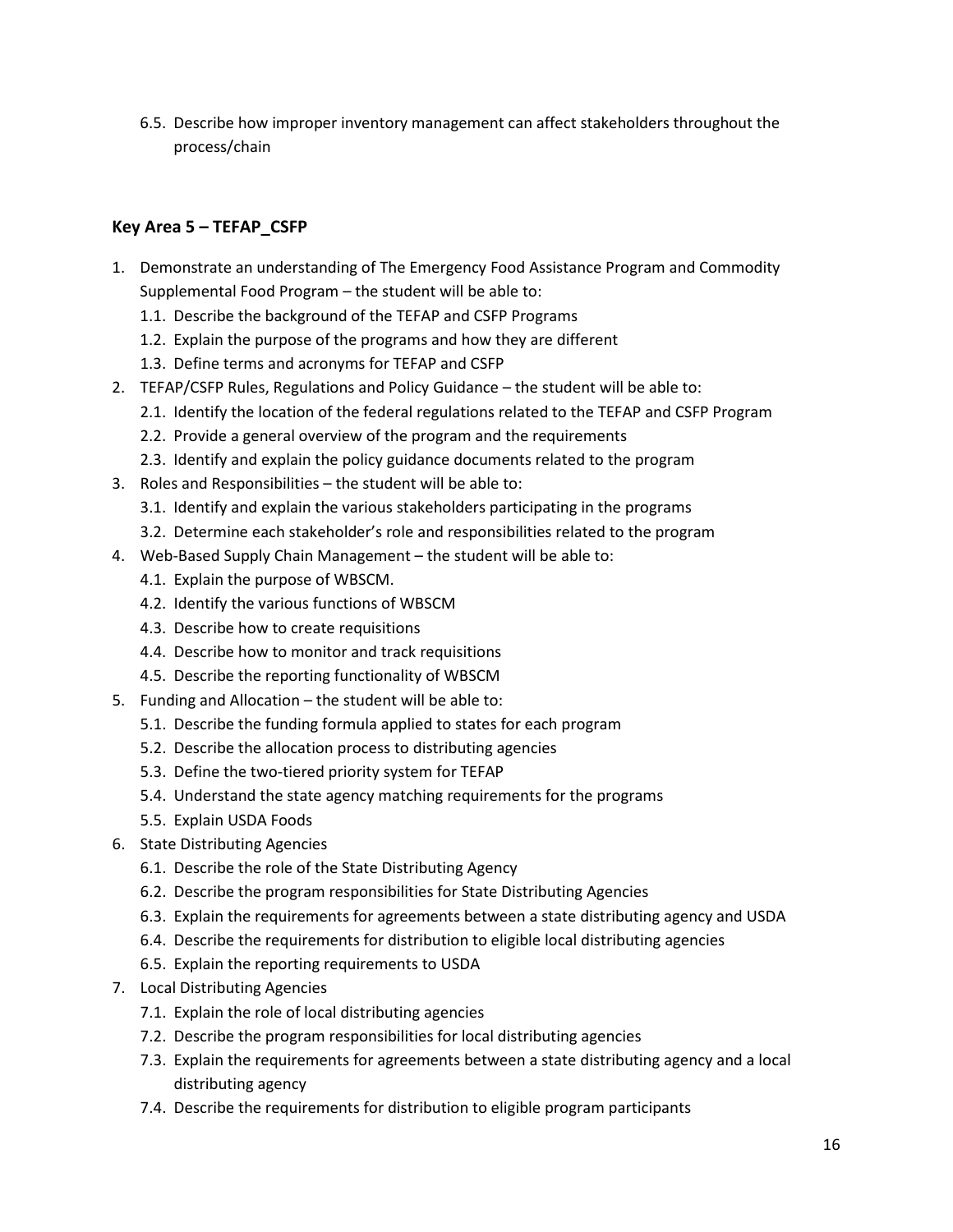6.5. Describe how improper inventory management can affect stakeholders throughout the process/chain

#### **Key Area 5 – TEFAP\_CSFP**

- 1. Demonstrate an understanding of The Emergency Food Assistance Program and Commodity Supplemental Food Program – the student will be able to:
	- 1.1. Describe the background of the TEFAP and CSFP Programs
	- 1.2. Explain the purpose of the programs and how they are different
	- 1.3. Define terms and acronyms for TEFAP and CSFP
- 2. TEFAP/CSFP Rules, Regulations and Policy Guidance the student will be able to:
	- 2.1. Identify the location of the federal regulations related to the TEFAP and CSFP Program
	- 2.2. Provide a general overview of the program and the requirements
	- 2.3. Identify and explain the policy guidance documents related to the program
- 3. Roles and Responsibilities the student will be able to:
	- 3.1. Identify and explain the various stakeholders participating in the programs
	- 3.2. Determine each stakeholder's role and responsibilities related to the program
- 4. Web-Based Supply Chain Management the student will be able to:
	- 4.1. Explain the purpose of WBSCM.
	- 4.2. Identify the various functions of WBSCM
	- 4.3. Describe how to create requisitions
	- 4.4. Describe how to monitor and track requisitions
	- 4.5. Describe the reporting functionality of WBSCM
- 5. Funding and Allocation the student will be able to:
	- 5.1. Describe the funding formula applied to states for each program
	- 5.2. Describe the allocation process to distributing agencies
	- 5.3. Define the two-tiered priority system for TEFAP
	- 5.4. Understand the state agency matching requirements for the programs
	- 5.5. Explain USDA Foods
- 6. State Distributing Agencies
	- 6.1. Describe the role of the State Distributing Agency
	- 6.2. Describe the program responsibilities for State Distributing Agencies
	- 6.3. Explain the requirements for agreements between a state distributing agency and USDA
	- 6.4. Describe the requirements for distribution to eligible local distributing agencies
	- 6.5. Explain the reporting requirements to USDA
- 7. Local Distributing Agencies
	- 7.1. Explain the role of local distributing agencies
	- 7.2. Describe the program responsibilities for local distributing agencies
	- 7.3. Explain the requirements for agreements between a state distributing agency and a local distributing agency
	- 7.4. Describe the requirements for distribution to eligible program participants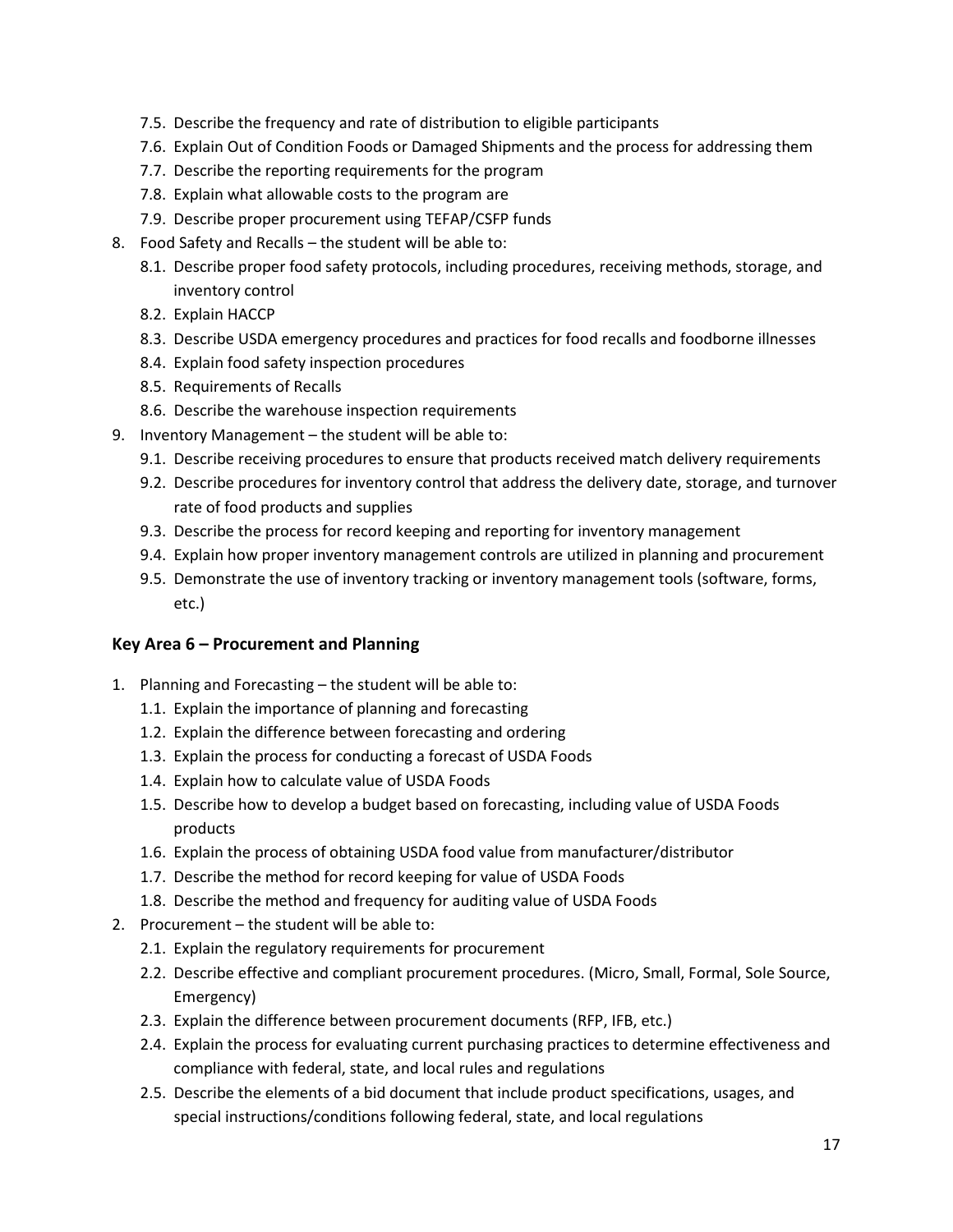- 7.5. Describe the frequency and rate of distribution to eligible participants
- 7.6. Explain Out of Condition Foods or Damaged Shipments and the process for addressing them
- 7.7. Describe the reporting requirements for the program
- 7.8. Explain what allowable costs to the program are
- 7.9. Describe proper procurement using TEFAP/CSFP funds
- 8. Food Safety and Recalls the student will be able to:
	- 8.1. Describe proper food safety protocols, including procedures, receiving methods, storage, and inventory control
	- 8.2. Explain HACCP
	- 8.3. Describe USDA emergency procedures and practices for food recalls and foodborne illnesses
	- 8.4. Explain food safety inspection procedures
	- 8.5. Requirements of Recalls
	- 8.6. Describe the warehouse inspection requirements
- 9. Inventory Management the student will be able to:
	- 9.1. Describe receiving procedures to ensure that products received match delivery requirements
	- 9.2. Describe procedures for inventory control that address the delivery date, storage, and turnover rate of food products and supplies
	- 9.3. Describe the process for record keeping and reporting for inventory management
	- 9.4. Explain how proper inventory management controls are utilized in planning and procurement
	- 9.5. Demonstrate the use of inventory tracking or inventory management tools (software, forms, etc.)

#### **Key Area 6 – Procurement and Planning**

- 1. Planning and Forecasting the student will be able to:
	- 1.1. Explain the importance of planning and forecasting
	- 1.2. Explain the difference between forecasting and ordering
	- 1.3. Explain the process for conducting a forecast of USDA Foods
	- 1.4. Explain how to calculate value of USDA Foods
	- 1.5. Describe how to develop a budget based on forecasting, including value of USDA Foods products
	- 1.6. Explain the process of obtaining USDA food value from manufacturer/distributor
	- 1.7. Describe the method for record keeping for value of USDA Foods
	- 1.8. Describe the method and frequency for auditing value of USDA Foods
- 2. Procurement the student will be able to:
	- 2.1. Explain the regulatory requirements for procurement
	- 2.2. Describe effective and compliant procurement procedures. (Micro, Small, Formal, Sole Source, Emergency)
	- 2.3. Explain the difference between procurement documents (RFP, IFB, etc.)
	- 2.4. Explain the process for evaluating current purchasing practices to determine effectiveness and compliance with federal, state, and local rules and regulations
	- 2.5. Describe the elements of a bid document that include product specifications, usages, and special instructions/conditions following federal, state, and local regulations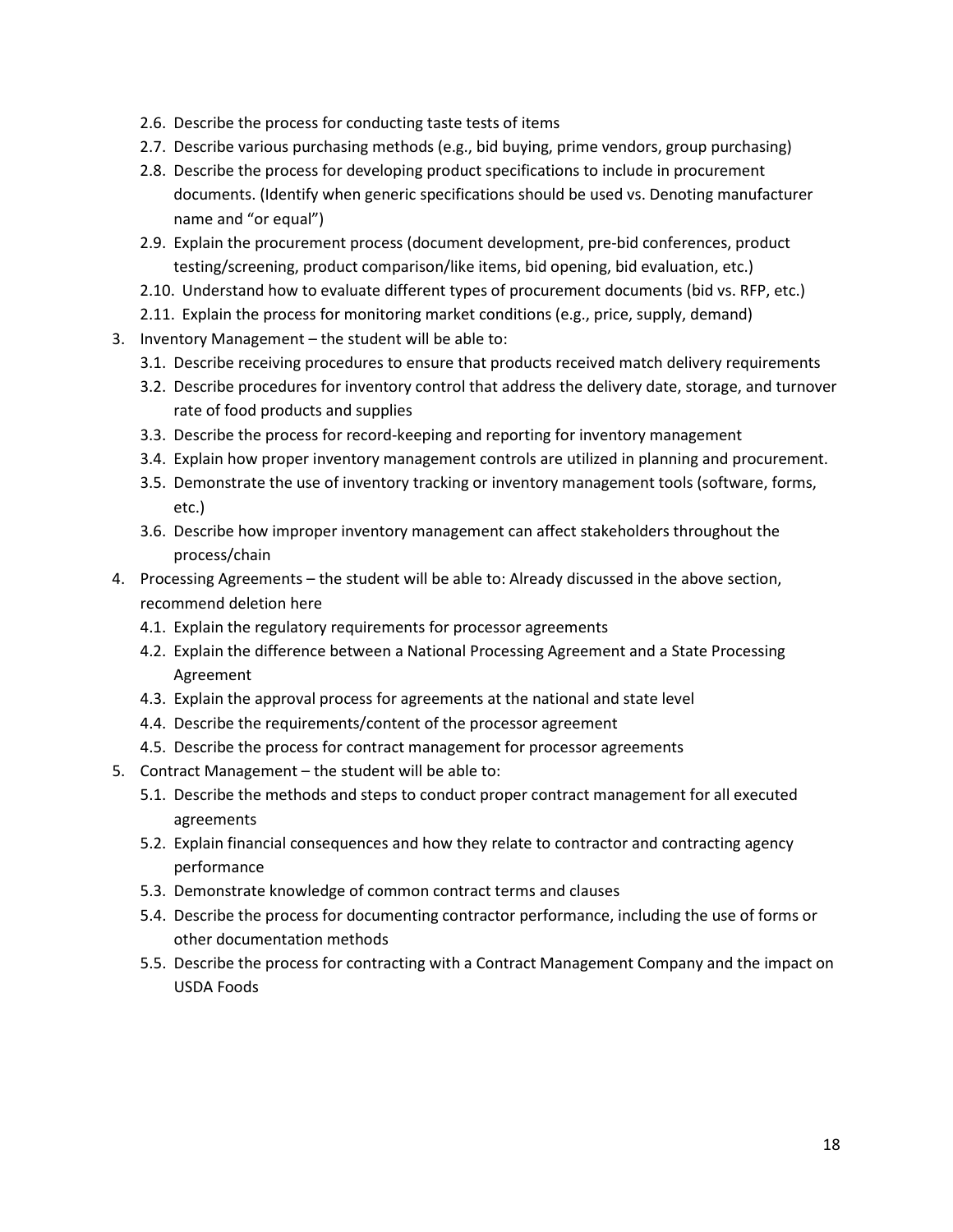- 2.6. Describe the process for conducting taste tests of items
- 2.7. Describe various purchasing methods (e.g., bid buying, prime vendors, group purchasing)
- 2.8. Describe the process for developing product specifications to include in procurement documents. (Identify when generic specifications should be used vs. Denoting manufacturer name and "or equal")
- 2.9. Explain the procurement process (document development, pre-bid conferences, product testing/screening, product comparison/like items, bid opening, bid evaluation, etc.)
- 2.10. Understand how to evaluate different types of procurement documents (bid vs. RFP, etc.)
- 2.11. Explain the process for monitoring market conditions (e.g., price, supply, demand)
- 3. Inventory Management the student will be able to:
	- 3.1. Describe receiving procedures to ensure that products received match delivery requirements
	- 3.2. Describe procedures for inventory control that address the delivery date, storage, and turnover rate of food products and supplies
	- 3.3. Describe the process for record-keeping and reporting for inventory management
	- 3.4. Explain how proper inventory management controls are utilized in planning and procurement.
	- 3.5. Demonstrate the use of inventory tracking or inventory management tools (software, forms, etc.)
	- 3.6. Describe how improper inventory management can affect stakeholders throughout the process/chain
- 4. Processing Agreements the student will be able to: Already discussed in the above section, recommend deletion here
	- 4.1. Explain the regulatory requirements for processor agreements
	- 4.2. Explain the difference between a National Processing Agreement and a State Processing Agreement
	- 4.3. Explain the approval process for agreements at the national and state level
	- 4.4. Describe the requirements/content of the processor agreement
	- 4.5. Describe the process for contract management for processor agreements
- 5. Contract Management the student will be able to:
	- 5.1. Describe the methods and steps to conduct proper contract management for all executed agreements
	- 5.2. Explain financial consequences and how they relate to contractor and contracting agency performance
	- 5.3. Demonstrate knowledge of common contract terms and clauses
	- 5.4. Describe the process for documenting contractor performance, including the use of forms or other documentation methods
	- 5.5. Describe the process for contracting with a Contract Management Company and the impact on USDA Foods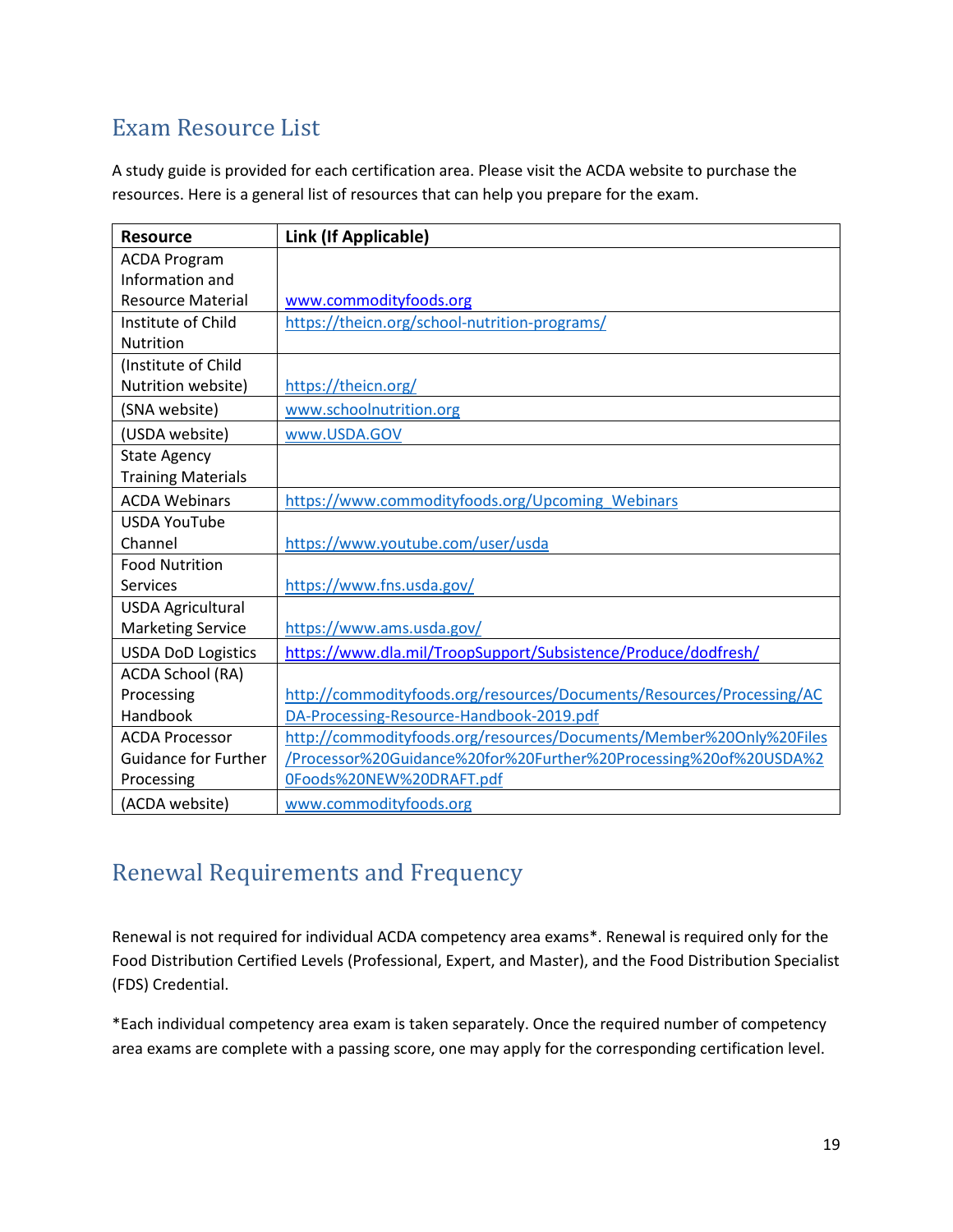# <span id="page-18-0"></span>Exam Resource List

A study guide is provided for each certification area. Please visit the ACDA website to purchase the resources. Here is a general list of resources that can help you prepare for the exam.

| <b>Resource</b>             | Link (If Applicable)                                                  |
|-----------------------------|-----------------------------------------------------------------------|
| <b>ACDA Program</b>         |                                                                       |
| Information and             |                                                                       |
| <b>Resource Material</b>    | www.commodityfoods.org                                                |
| Institute of Child          | https://theicn.org/school-nutrition-programs/                         |
| <b>Nutrition</b>            |                                                                       |
| (Institute of Child         |                                                                       |
| Nutrition website)          | https://theicn.org/                                                   |
| (SNA website)               | www.schoolnutrition.org                                               |
| (USDA website)              | www.USDA.GOV                                                          |
| <b>State Agency</b>         |                                                                       |
| <b>Training Materials</b>   |                                                                       |
| <b>ACDA Webinars</b>        | https://www.commodityfoods.org/Upcoming Webinars                      |
| <b>USDA YouTube</b>         |                                                                       |
| Channel                     | https://www.youtube.com/user/usda                                     |
| <b>Food Nutrition</b>       |                                                                       |
| <b>Services</b>             | https://www.fns.usda.gov/                                             |
| <b>USDA Agricultural</b>    |                                                                       |
| <b>Marketing Service</b>    | https://www.ams.usda.gov/                                             |
| <b>USDA DoD Logistics</b>   | https://www.dla.mil/TroopSupport/Subsistence/Produce/dodfresh/        |
| ACDA School (RA)            |                                                                       |
| Processing                  | http://commodityfoods.org/resources/Documents/Resources/Processing/AC |
| Handbook                    | DA-Processing-Resource-Handbook-2019.pdf                              |
| <b>ACDA Processor</b>       | http://commodityfoods.org/resources/Documents/Member%20Only%20Files   |
| <b>Guidance for Further</b> | /Processor%20Guidance%20for%20Further%20Processing%20of%20USDA%2      |
| Processing                  | 0Foods%20NEW%20DRAFT.pdf                                              |
| (ACDA website)              | www.commodityfoods.org                                                |

# <span id="page-18-1"></span>Renewal Requirements and Frequency

Renewal is not required for individual ACDA competency area exams\*. Renewal is required only for the Food Distribution Certified Levels (Professional, Expert, and Master), and the Food Distribution Specialist (FDS) Credential.

\*Each individual competency area exam is taken separately. Once the required number of competency area exams are complete with a passing score, one may apply for the corresponding certification level.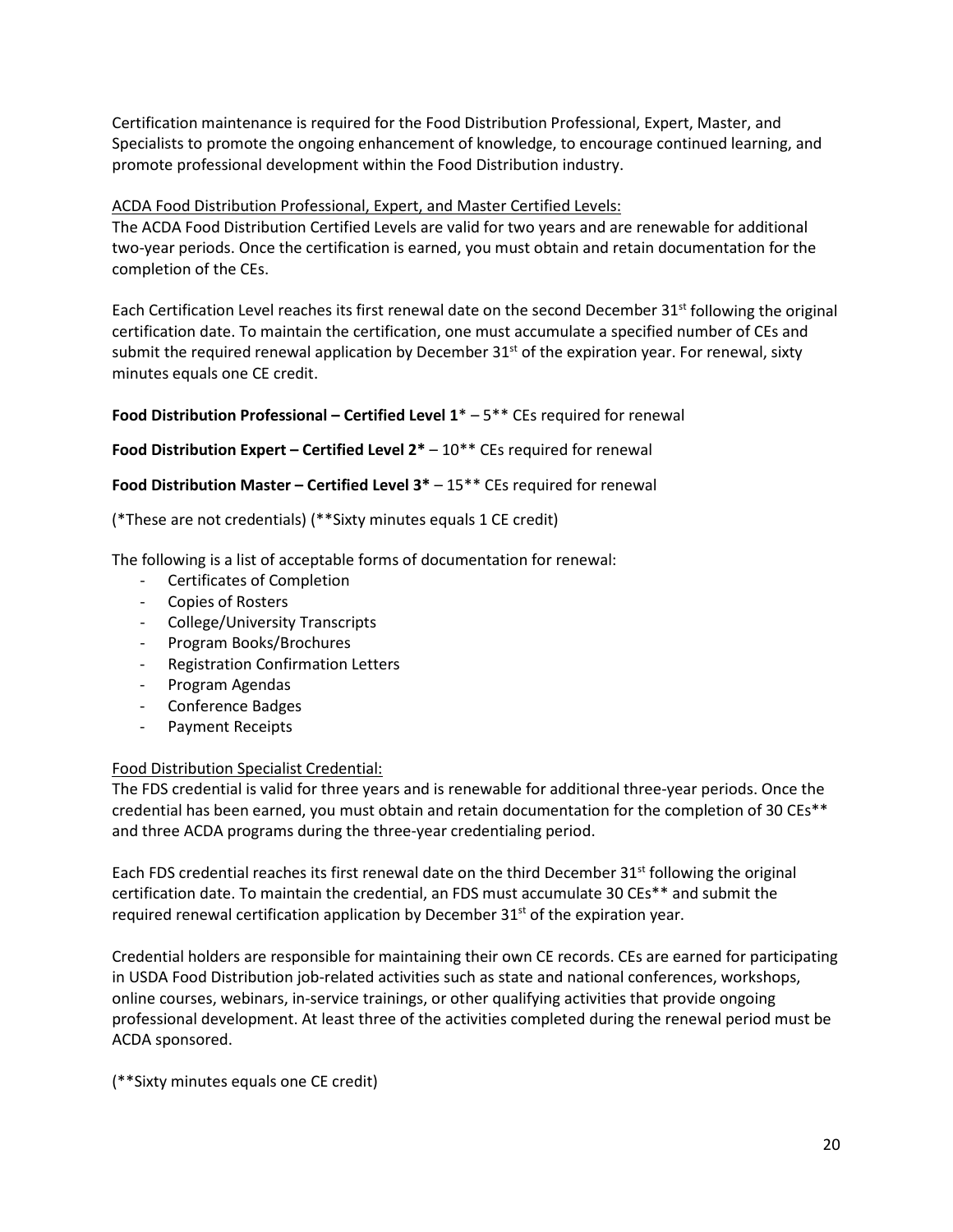Certification maintenance is required for the Food Distribution Professional, Expert, Master, and Specialists to promote the ongoing enhancement of knowledge, to encourage continued learning, and promote professional development within the Food Distribution industry.

#### ACDA Food Distribution Professional, Expert, and Master Certified Levels:

The ACDA Food Distribution Certified Levels are valid for two years and are renewable for additional two-year periods. Once the certification is earned, you must obtain and retain documentation for the completion of the CEs.

Each Certification Level reaches its first renewal date on the second December 31<sup>st</sup> following the original certification date. To maintain the certification, one must accumulate a specified number of CEs and submit the required renewal application by December  $31<sup>st</sup>$  of the expiration year. For renewal, sixty minutes equals one CE credit.

#### **Food Distribution Professional – Certified Level 1**\* – 5\*\* CEs required for renewal

**Food Distribution Expert – Certified Level 2\*** – 10\*\* CEs required for renewal

#### **Food Distribution Master – Certified Level 3\*** – 15\*\* CEs required for renewal

(\*These are not credentials) (\*\*Sixty minutes equals 1 CE credit)

The following is a list of acceptable forms of documentation for renewal:

- Certificates of Completion
- Copies of Rosters
- College/University Transcripts
- Program Books/Brochures
- Registration Confirmation Letters
- Program Agendas
- Conference Badges
- Payment Receipts

#### Food Distribution Specialist Credential:

The FDS credential is valid for three years and is renewable for additional three-year periods. Once the credential has been earned, you must obtain and retain documentation for the completion of 30 CEs\*\* and three ACDA programs during the three-year credentialing period.

Each FDS credential reaches its first renewal date on the third December  $31<sup>st</sup>$  following the original certification date. To maintain the credential, an FDS must accumulate 30 CEs\*\* and submit the required renewal certification application by December  $31<sup>st</sup>$  of the expiration year.

Credential holders are responsible for maintaining their own CE records. CEs are earned for participating in USDA Food Distribution job-related activities such as state and national conferences, workshops, online courses, webinars, in-service trainings, or other qualifying activities that provide ongoing professional development. At least three of the activities completed during the renewal period must be ACDA sponsored.

(\*\*Sixty minutes equals one CE credit)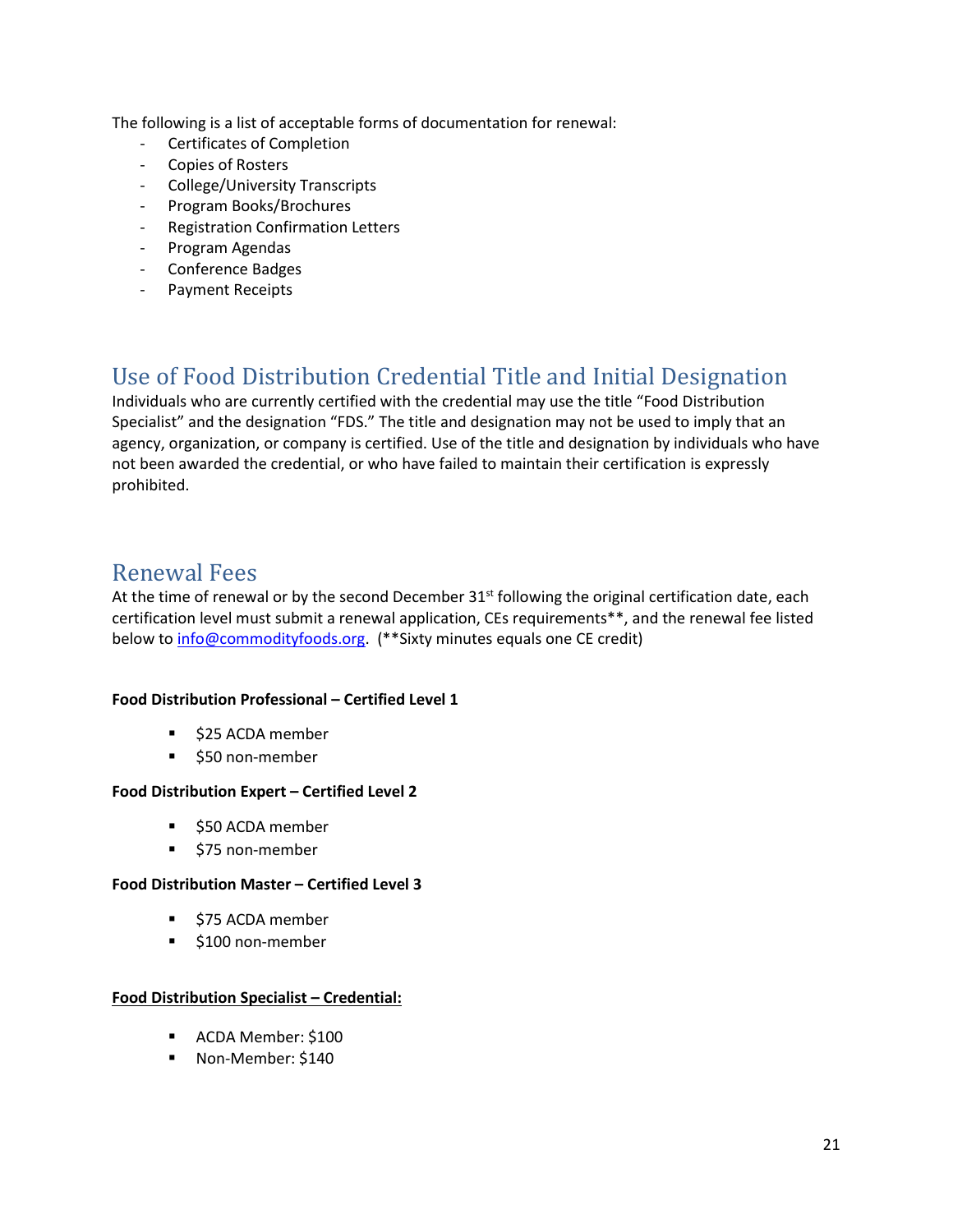The following is a list of acceptable forms of documentation for renewal:

- Certificates of Completion
- Copies of Rosters
- College/University Transcripts
- Program Books/Brochures
- Registration Confirmation Letters
- Program Agendas
- Conference Badges
- Payment Receipts

### <span id="page-20-0"></span>Use of Food Distribution Credential Title and Initial Designation

Individuals who are currently certified with the credential may use the title "Food Distribution Specialist" and the designation "FDS." The title and designation may not be used to imply that an agency, organization, or company is certified. Use of the title and designation by individuals who have not been awarded the credential, or who have failed to maintain their certification is expressly prohibited.

### <span id="page-20-1"></span>Renewal Fees

At the time of renewal or by the second December 31<sup>st</sup> following the original certification date, each certification level must submit a renewal application, CEs requirements\*\*, and the renewal fee listed below to [info@commodityfoods.org.](mailto:info@commodityfoods.org) (\*\*Sixty minutes equals one CE credit)

#### **Food Distribution Professional – Certified Level 1**

- **525 ACDA member**
- **550 non-member**

#### **Food Distribution Expert – Certified Level 2**

- \$50 ACDA member
- **575 non-member**

#### **Food Distribution Master – Certified Level 3**

- **575 ACDA member**
- **5100 non-member**

#### **Food Distribution Specialist – Credential:**

- ACDA Member: \$100
- **Non-Member: \$140**